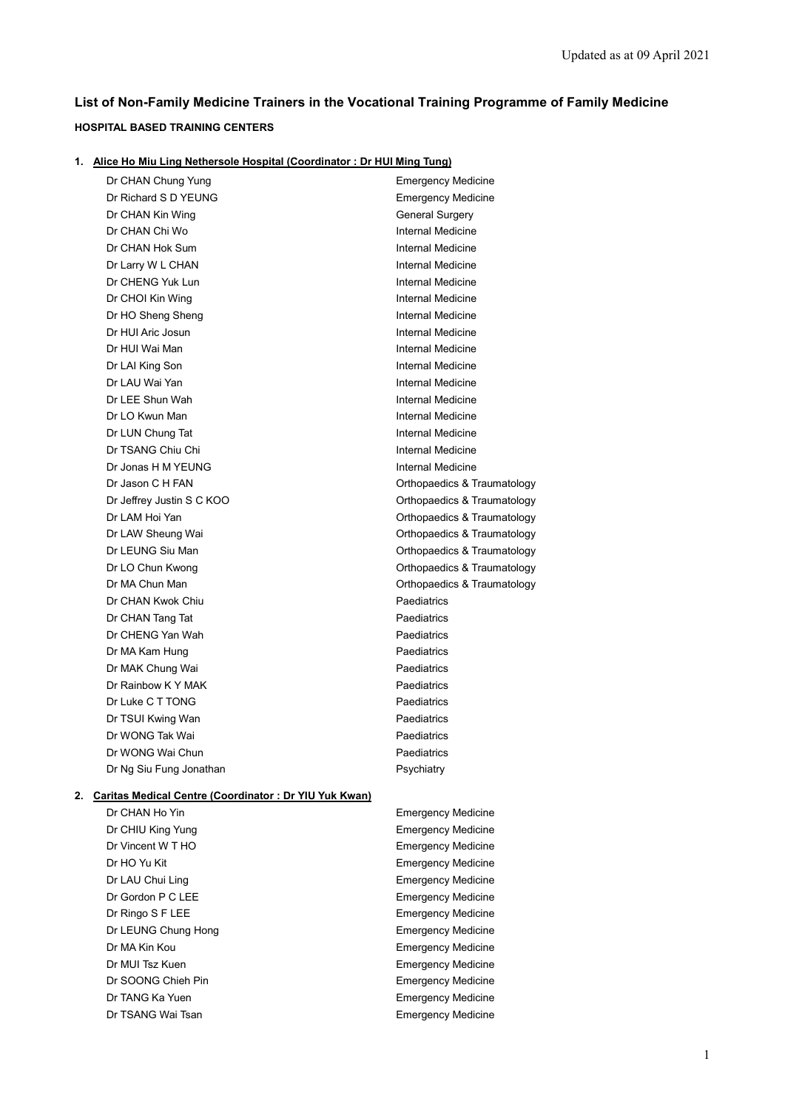# **List of Non-Family Medicine Trainers in the Vocational Training Programme of Family Medicine**

# **HOSPITAL BASED TRAINING CENTERS**

|  |  | 1. Alice Ho Miu Ling Nethersole Hospital (Coordinator: Dr HUI Ming Tung) |  |  |
|--|--|--------------------------------------------------------------------------|--|--|
|--|--|--------------------------------------------------------------------------|--|--|

|    | Dr CHAN Chung Yung                                           | <b>Emergency Medicine</b>   |
|----|--------------------------------------------------------------|-----------------------------|
|    | Dr Richard S D YEUNG                                         | <b>Emergency Medicine</b>   |
|    | Dr CHAN Kin Wing                                             | <b>General Surgery</b>      |
|    | Dr CHAN Chi Wo                                               | Internal Medicine           |
|    | Dr CHAN Hok Sum                                              | <b>Internal Medicine</b>    |
|    | Dr Larry W L CHAN                                            | Internal Medicine           |
|    | Dr CHENG Yuk Lun                                             | Internal Medicine           |
|    | Dr CHOI Kin Wing                                             | Internal Medicine           |
|    | Dr HO Sheng Sheng                                            | Internal Medicine           |
|    | Dr HUI Aric Josun                                            | Internal Medicine           |
|    | Dr HUI Wai Man                                               | Internal Medicine           |
|    | Dr LAI King Son                                              | Internal Medicine           |
|    | Dr LAU Wai Yan                                               | Internal Medicine           |
|    | Dr LEE Shun Wah                                              | Internal Medicine           |
|    | Dr LO Kwun Man                                               | Internal Medicine           |
|    | Dr LUN Chung Tat                                             | Internal Medicine           |
|    | Dr TSANG Chiu Chi                                            | Internal Medicine           |
|    | Dr Jonas H M YEUNG                                           | Internal Medicine           |
|    | Dr Jason C H FAN                                             | Orthopaedics & Traumatology |
|    | Dr Jeffrey Justin S C KOO                                    | Orthopaedics & Traumatology |
|    | Dr LAM Hoi Yan                                               | Orthopaedics & Traumatology |
|    | Dr LAW Sheung Wai                                            | Orthopaedics & Traumatology |
|    | Dr LEUNG Siu Man                                             | Orthopaedics & Traumatology |
|    | Dr LO Chun Kwong                                             | Orthopaedics & Traumatology |
|    | Dr MA Chun Man                                               | Orthopaedics & Traumatology |
|    | Dr CHAN Kwok Chiu                                            | Paediatrics                 |
|    | Dr CHAN Tang Tat                                             | Paediatrics                 |
|    | Dr CHENG Yan Wah                                             | Paediatrics                 |
|    | Dr MA Kam Hung                                               | Paediatrics                 |
|    | Dr MAK Chung Wai                                             | Paediatrics                 |
|    | Dr Rainbow K Y MAK                                           | Paediatrics                 |
|    | Dr Luke C T TONG                                             | Paediatrics                 |
|    | Dr TSUI Kwing Wan                                            | Paediatrics                 |
|    | Dr WONG Tak Wai                                              | Paediatrics                 |
|    | Dr WONG Wai Chun                                             | Paediatrics                 |
|    | Dr Ng Siu Fung Jonathan                                      | Psychiatry                  |
| 2. | <b>Caritas Medical Centre (Coordinator: Dr YIU Yuk Kwan)</b> |                             |
|    | Dr CHAN Ho Yin                                               | <b>Emergency Medicine</b>   |

Dr CHIU King Yung **Emergency Medicine** Dr Vincent W T HO **Emergency Medicine** Dr HO Yu Kit **Emergency Medicine** Dr LAU Chui Ling **Emergency Medicine** Dr Gordon P C LEE **Example 2018** Emergency Medicine Dr Ringo S F LEE **Example 20** The Second Second Second Second Second Second Second Second Second Second Second Second Second Second Second Second Second Second Second Second Second Second Second Second Second Second Second Dr LEUNG Chung Hong **Emergency Medicine Dr MA Kin Kou Emergency Medicine** Dr MUI Tsz Kuen **Emergency Medicine** Dr SOONG Chieh Pin **Emergency Medicine** Dr TANG Ka Yuen **Emergency Medicine** Dr TSANG Wai Tsan **Emergency Medicine**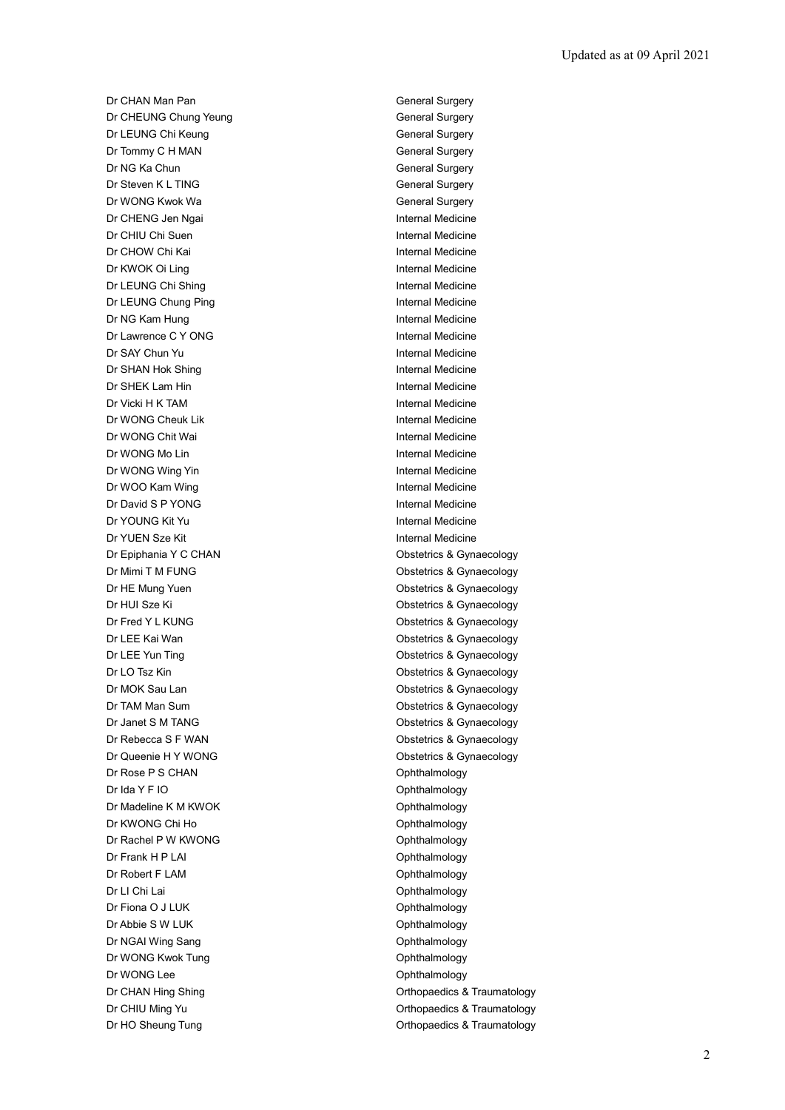Dr CHAN Man Pan General Surgery Dr CHEUNG Chung Yeung General Surgery Dr LEUNG Chi Keung General Surgery Dr Tommy C H MAN General Surgery Dr NG Ka Chun General Surgery Dr Steven K L TING General Surgery Dr WONG Kwok Wa General Surgery Dr CHENG Jen Ngai **Internal Medicine** Dr CHIU Chi Suen Internal Medicine Dr CHOW Chi Kai **Internal Medicine** Dr KWOK Oi Ling **Internal Medicine** Dr LEUNG Chi Shing **Internal Medicine** Dr LEUNG Chung Ping **Internal Medicine** Dr NG Kam Hung **Internal Medicine** Dr Lawrence C Y ONG **Internal Medicine** Dr SAY Chun Yu **Internal Medicine** Dr SHAN Hok Shing **Internal Medicine Dr SHEK Lam Hin Internal Medicine** Dr Vicki H K TAM **Internal Medicine** Dr WONG Cheuk Lik **Internal Medicine** Dr WONG Chit Wai **Internal Medicine** Dr WONG Mo Lin **Internal Medicine** Dr WONG Wing Yin **Internal Medicine** Dr WOO Kam Wing **Internal Medicine** Dr David S P YONG Internal Medicine Dr YOUNG Kit Yu **Internal Medicine** Dr YUEN Sze Kit **Internal Medicine** Dr Epiphania Y C CHAN **Obstetrics & Gynaecology** Dr Mimi T M FUNG **Dr Mimi T M FUNG Obstetrics & Gynaecology** Dr HE Mung Yuen **Obstetrics & Gynaecology** Dr HUI Sze Ki **Obstetrics & Gynaecology** Dr Fred Y L KUNG **Dr Fred Y L KUNG Obstetrics & Gynaecology** Dr LEE Kai Wan **Obstetrics & Gynaecology** Dr LEE Yun Ting **Canadian Contract Contract Contract Contract Contract Contract Contract Contract Contract Contract Contract Contract Contract Contract Contract Contract Contract Contract Contract Contract Contract Contrac** Dr LO Tsz Kin **Obstetrics & Gynaecology** Dr MOK Sau Lan **Obstetrics & Gynaecology** Dr TAM Man Sum **Dr TAM Man Sum** Constant Constant Constant Constant Constant Constant Constant Constant Constant Dr Janet S M TANG **Dr Janet S M TANG Obstetrics & Gynaecology** Dr Rebecca S F WAN **Dr Rebecca S F WAN** Obstetrics & Gynaecology Dr Queenie H Y WONG **Obstetrics & Gynaecology** Dr Rose P S CHAN Ophthalmology Dr Ida Y F IO **Ophthalmology** Dr Madeline K M KWOK **Ophthalmology** Dr KWONG Chi Ho **Ophthalmology** Dr Rachel P W KWONG **Ophthalmology** Dr Frank H P LAI **Dr Frank H P LAI** Dr Robert F LAM **Ophthalmology** Dr LI Chi Lai **Ophthalmology** Dr Fiona O J LUK Ophthalmology Dr Abbie S W LUK Ophthalmology Dr NGAI Wing Sang **Ophthalmology** Dr WONG Kwok Tung **Canadian Control Control Control Control Control Control Control Control Control Control Control Control Control Control Control Control Control Control Control Control Control Control Control Control Co** Dr WONG Lee Ophthalmology Dr CHAN Hing Shing **CHAN Hing Shing Community** Change of CHAN Hing Shing Orthopaedics & Traumatology Dr CHIU Ming Yu **Dr CHIU Ming Yu Orthopaedics & Traumatology** Dr HO Sheung Tung **Dr HO Sheung Tung Community** Control of Community Control Orthopaedics & Traumatology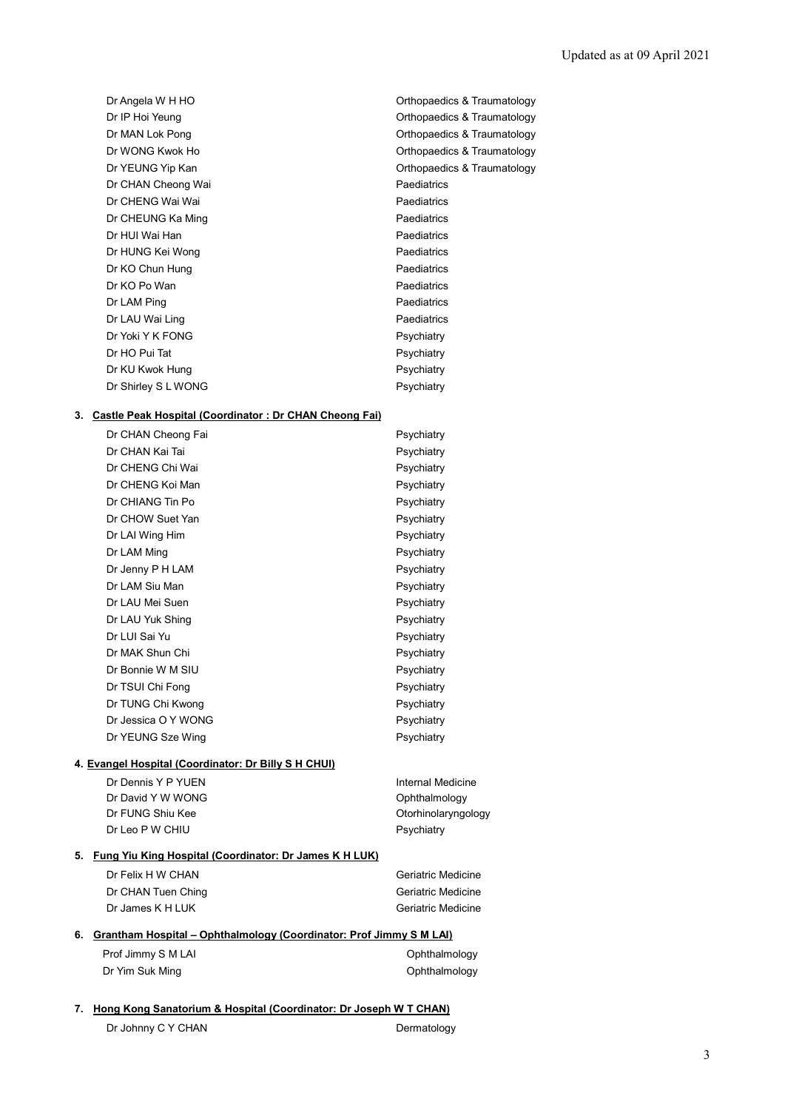| Dr Angela W H HO    | Orthopaedics & Traumatology |
|---------------------|-----------------------------|
| Dr IP Hoi Yeung     | Orthopaedics & Traumatology |
| Dr MAN Lok Pong     | Orthopaedics & Traumatology |
| Dr WONG Kwok Ho     | Orthopaedics & Traumatology |
| Dr YEUNG Yip Kan    | Orthopaedics & Traumatology |
| Dr CHAN Cheong Wai  | Paediatrics                 |
| Dr CHENG Wai Wai    | Paediatrics                 |
| Dr CHEUNG Ka Ming   | Paediatrics                 |
| Dr HUI Wai Han      | Paediatrics                 |
| Dr HUNG Kei Wong    | Paediatrics                 |
| Dr KO Chun Hung     | Paediatrics                 |
| Dr KO Po Wan        | Paediatrics                 |
| Dr LAM Ping         | Paediatrics                 |
| Dr LAU Wai Ling     | Paediatrics                 |
| Dr Yoki Y K FONG    | Psychiatry                  |
| Dr HO Pui Tat       | Psychiatry                  |
| Dr KU Kwok Hung     | Psychiatry                  |
| Dr Shirley S L WONG | Psychiatry                  |
|                     |                             |

# **3. Castle Peak Hospital (Coordinator : Dr CHAN Cheong Fai)**

| Dr CHAN Cheong Fai                                                     | Psychiatry |
|------------------------------------------------------------------------|------------|
| Dr CHAN Kai Tai                                                        | Psychiatry |
| Dr CHENG Chi Wai                                                       | Psychiatry |
| Dr CHENG Koi Man                                                       | Psychiatry |
| Dr CHIANG Tin Po                                                       | Psychiatry |
| Dr CHOW Suet Yan                                                       | Psychiatry |
| Dr LAI Wing Him                                                        | Psychiatry |
| Dr LAM Ming                                                            | Psychiatry |
| Dr Jenny P H LAM                                                       | Psychiatry |
| Dr LAM Siu Man                                                         | Psychiatry |
| Dr LAU Mei Suen                                                        | Psychiatry |
| Dr LAU Yuk Shing                                                       | Psychiatry |
| Dr LUI Sai Yu                                                          | Psychiatry |
| Dr MAK Shun Chi                                                        | Psychiatry |
| Dr Bonnie W M SIU                                                      | Psychiatry |
| Dr TSUI Chi Fong                                                       | Psychiatry |
| Dr TUNG Chi Kwong                                                      | Psychiatry |
| Dr Jessica O Y WONG                                                    | Psychiatry |
| Dr YEUNG Sze Wing                                                      | Psychiatry |
| $\mathbf{u}$ . $\mathbf{u}$ . $\mathbf{u}$ . The state of $\mathbf{u}$ |            |

# **4. Evangel Hospital (Coordinator: Dr Billy S H CHUI)**

| Dr Dennis Y P YUEN | Internal Medicine   |
|--------------------|---------------------|
| Dr David Y W WONG  | Ophthalmology       |
| Dr FUNG Shiu Kee   | Otorhinolaryngology |
| Dr Leo P W CHIU    | Psychiatry          |
|                    |                     |

### **5. Fung Yiu King Hospital (Coordinator: Dr James K H LUK)**

| Dr Felix H W CHAN  | Geriatric Medicine |
|--------------------|--------------------|
| Dr CHAN Tuen Ching | Geriatric Medicine |
| Dr James K H LUK   | Geriatric Medicine |

### **6. Grantham Hospital – Ophthalmology (Coordinator: Prof Jimmy S M LAI)**

| Prof Jimmy S M LAI | Ophthalmology |
|--------------------|---------------|
| Dr Yim Suk Ming    | Ophthalmology |

### **7. Hong Kong Sanatorium & Hospital (Coordinator: Dr Joseph W T CHAN)**

Dr Johnny C Y CHAN Dermatology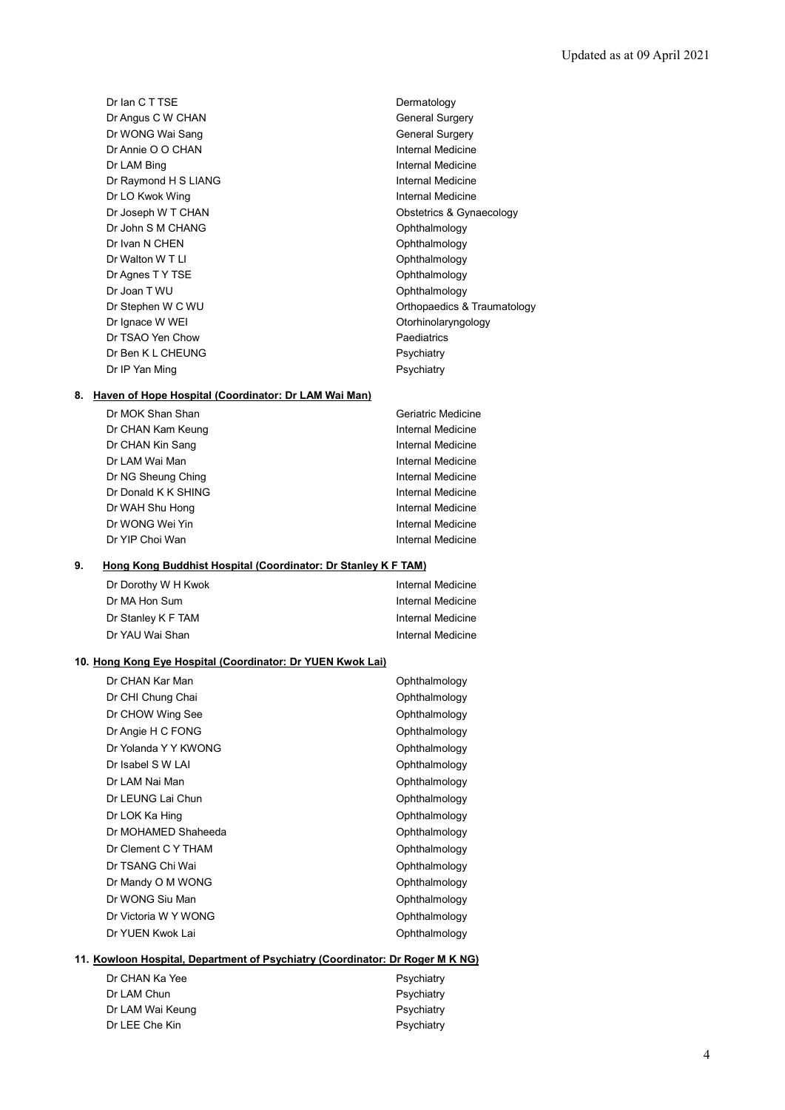Dr Ian C T TSE Dermatology Dr Angus C W CHAN General Surgery Dr WONG Wai Sang General Surgery Dr Annie O O CHAN Internal Medicine Dr LAM Bing **Internal Medicine** Dr Raymond H S LIANG **Internal Medicine** Dr LO Kwok Wing **Internal Medicine** Dr John S M CHANG **Ophthalmology** Dr Ivan N CHEN Ophthalmology Dr Walton W T LI CHARGE COMMUNICATION COMMUNICATION Ophthalmology Dr Agnes T Y TSE Ophthalmology Dr Joan T WU **Ophthalmology** Dr Ignace W WEI **Dr Ignace W WEI** Dr TSAO Yen Chow **Paediatrics** Dr Ben K L CHEUNG Psychiatry Dr IP Yan Ming **Property** Psychiatry

Dr Joseph W T CHAN **Dr Joseph W T CHAN Obstetrics & Gynaecology** Dr Stephen W C WU **Dr Stephen W C WU Orthopaedics & Traumatology** 

#### **8. Haven of Hope Hospital (Coordinator: Dr LAM Wai Man)**

| Dr MOK Shan Shan    | Geriatric Medicine |
|---------------------|--------------------|
| Dr CHAN Kam Keung   | Internal Medicine  |
| Dr CHAN Kin Sang    | Internal Medicine  |
| Dr LAM Wai Man      | Internal Medicine  |
| Dr NG Sheung Ching  | Internal Medicine  |
| Dr Donald K K SHING | Internal Medicine  |
| Dr WAH Shu Hong     | Internal Medicine  |
| Dr WONG Wei Yin     | Internal Medicine  |
| Dr YIP Choi Wan     | Internal Medicine  |

#### **9. Hong Kong Buddhist Hospital (Coordinator: Dr Stanley K F TAM)**

| Dr Dorothy W H Kwok | Internal Medicine |
|---------------------|-------------------|
| Dr MA Hon Sum       | Internal Medicine |
| Dr Stanley K F TAM  | Internal Medicine |
| Dr YAU Wai Shan     | Internal Medicine |

#### **10. Hong Kong Eye Hospital (Coordinator: Dr YUEN Kwok Lai)**

| Dr CHAN Kar Man      | Ophthalmology |
|----------------------|---------------|
| Dr CHI Chung Chai    | Ophthalmology |
| Dr CHOW Wing See     | Ophthalmology |
| Dr Angie H C FONG    | Ophthalmology |
| Dr Yolanda Y Y KWONG | Ophthalmology |
| Dr Isabel S W LAI    | Ophthalmology |
| Dr LAM Nai Man       | Ophthalmology |
| Dr LEUNG Lai Chun    | Ophthalmology |
| Dr LOK Ka Hing       | Ophthalmology |
| Dr MOHAMED Shaheeda  | Ophthalmology |
| Dr Clement C Y THAM  | Ophthalmology |
| Dr TSANG Chi Wai     | Ophthalmology |
| Dr Mandy O M WONG    | Ophthalmology |
| Dr WONG Siu Man      | Ophthalmology |
| Dr Victoria W Y WONG | Ophthalmology |
| Dr YUEN Kwok Lai     | Ophthalmology |

### **11. Kowloon Hospital, Department of Psychiatry (Coordinator: Dr Roger M K NG)**

| Dr CHAN Ka Yee   | Psychiatry |
|------------------|------------|
| Dr LAM Chun      | Psychiatry |
| Dr LAM Wai Keung | Psychiatry |
| Dr LEE Che Kin   | Psychiatry |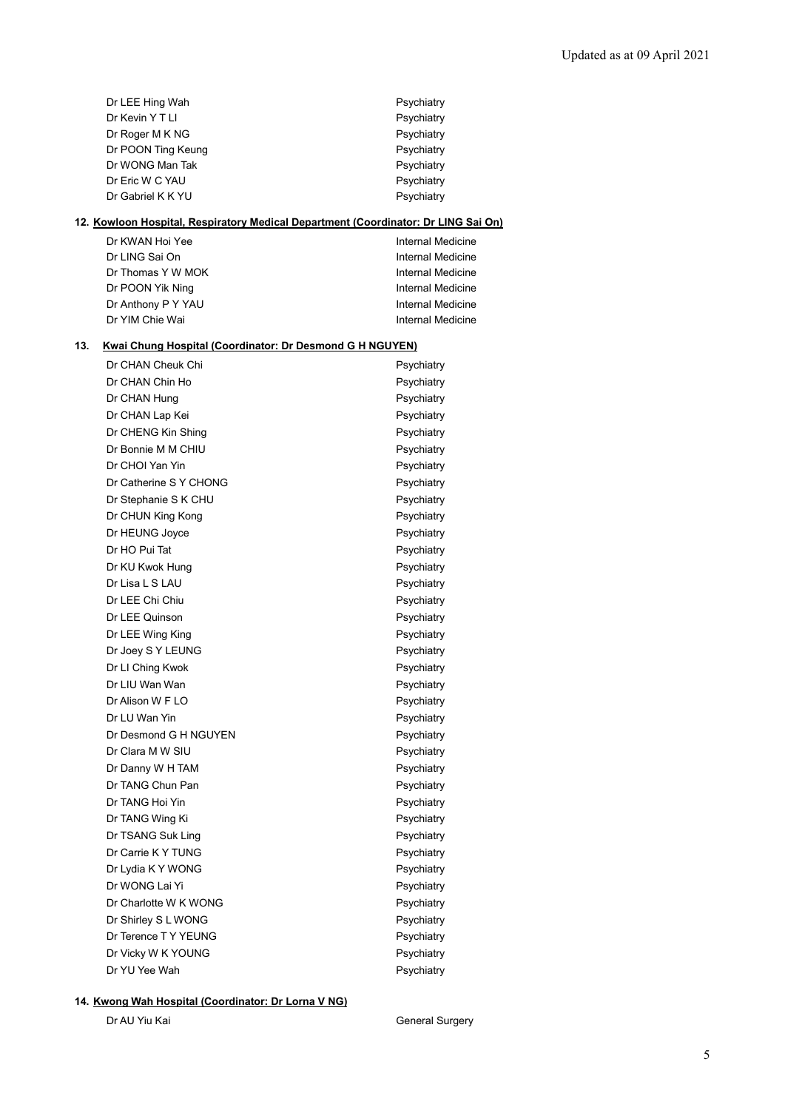|     | Dr LEE Hing Wah                                                 | Psychiatry                                                                         |
|-----|-----------------------------------------------------------------|------------------------------------------------------------------------------------|
|     | Dr Kevin Y T LI                                                 | Psychiatry                                                                         |
|     | Dr Roger M K NG                                                 | Psychiatry                                                                         |
|     | Dr POON Ting Keung                                              | Psychiatry                                                                         |
|     | Dr WONG Man Tak                                                 | Psychiatry                                                                         |
|     | Dr Eric W C YAU                                                 | Psychiatry                                                                         |
|     | Dr Gabriel K K YU                                               | Psychiatry                                                                         |
|     |                                                                 | 12. Kowloon Hospital, Respiratory Medical Department (Coordinator: Dr LING Sai On) |
|     | Dr KWAN Hoi Yee                                                 | Internal Medicine                                                                  |
|     | Dr LING Sai On                                                  | Internal Medicine                                                                  |
|     | Dr Thomas Y W MOK                                               | Internal Medicine                                                                  |
|     | Dr POON Yik Ning                                                | Internal Medicine                                                                  |
|     | Dr Anthony P Y YAU                                              | Internal Medicine                                                                  |
|     | Dr YIM Chie Wai                                                 | Internal Medicine                                                                  |
| 13. | <b>Kwai Chung Hospital (Coordinator: Dr Desmond G H NGUYEN)</b> |                                                                                    |
|     | Dr CHAN Cheuk Chi                                               | Psychiatry                                                                         |
|     | Dr CHAN Chin Ho                                                 | Psychiatry                                                                         |
|     | Dr CHAN Hung                                                    | Psychiatry                                                                         |
|     | Dr CHAN Lap Kei                                                 | Psychiatry                                                                         |
|     | Dr CHENG Kin Shing                                              | Psychiatry                                                                         |
|     | Dr Bonnie M M CHIU                                              | Psychiatry                                                                         |
|     | Dr CHOI Yan Yin                                                 | Psychiatry                                                                         |
|     | Dr Catherine S Y CHONG                                          | Psychiatry                                                                         |
|     | Dr Stephanie S K CHU                                            | Psychiatry                                                                         |
|     | Dr CHUN King Kong                                               | Psychiatry                                                                         |
|     | Dr HEUNG Joyce                                                  | Psychiatry                                                                         |
|     | Dr HO Pui Tat                                                   | Psychiatry                                                                         |
|     | Dr KU Kwok Hung                                                 | Psychiatry                                                                         |
|     | Dr Lisa L S LAU                                                 | Psychiatry                                                                         |
|     | Dr LEE Chi Chiu                                                 | Psychiatry                                                                         |
|     | Dr LEE Quinson                                                  | Psychiatry                                                                         |
|     | Dr LEE Wing King                                                | Psychiatry                                                                         |
|     | Dr Joey S Y LEUNG                                               | Psychiatry                                                                         |
|     | Dr LI Ching Kwok                                                | Psychiatry                                                                         |
|     | Dr LIU Wan Wan                                                  | Psychiatry                                                                         |
|     | Dr Alison W F LO                                                | Psychiatry                                                                         |
|     | Dr LU Wan Yin                                                   | Psychiatry                                                                         |
|     | Dr Desmond G H NGUYEN                                           | Psychiatry                                                                         |
|     | Dr Clara M W SIU                                                | Psychiatry                                                                         |
|     | Dr Danny W H TAM                                                | Psychiatry                                                                         |
|     | Dr TANG Chun Pan                                                | Psychiatry                                                                         |
|     | Dr TANG Hoi Yin                                                 | Psychiatry                                                                         |
|     | Dr TANG Wing Ki                                                 | Psychiatry                                                                         |
|     | Dr TSANG Suk Ling                                               | Psychiatry                                                                         |
|     | Dr Carrie K Y TUNG                                              | Psychiatry                                                                         |
|     | Dr Lydia K Y WONG                                               | Psychiatry                                                                         |
|     | Dr WONG Lai Yi                                                  | Psychiatry                                                                         |
|     | Dr Charlotte W K WONG                                           | Psychiatry                                                                         |
|     | Dr Shirley S L WONG                                             | Psychiatry                                                                         |
|     | Dr Terence T Y YEUNG                                            | Psychiatry                                                                         |
|     | Dr Vicky W K YOUNG                                              | Psychiatry                                                                         |
|     | Dr YU Yee Wah                                                   | Psychiatry                                                                         |
|     |                                                                 |                                                                                    |

# **14. Kwong Wah Hospital (Coordinator: Dr Lorna V NG)**

Dr AU Yiu Kai **General Surgery**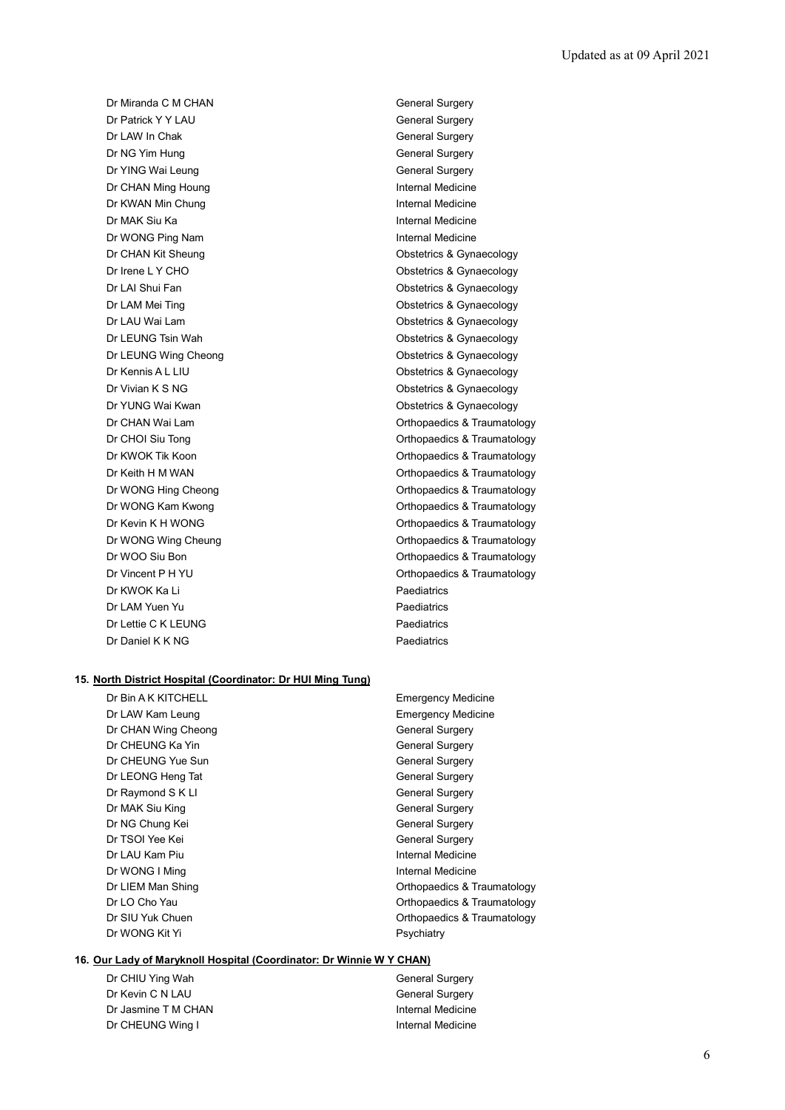Dr Miranda C M CHAN General Surgery Dr Patrick Y Y LAU General Surgery Dr LAW In Chak General Surgery **Dr NG Yim Hung General Surgery** General Surgery Dr YING Wai Leung General Surgery Dr CHAN Ming Houng **Internal Medicine** Dr KWAN Min Chung **Internal Medicine** Dr MAK Siu Ka **Internal Medicine** Dr WONG Ping Nam **Internal Medicine** Dr CHAN Kit Sheung **Obstetrics & Gynaecology** Dr LAI Shui Fan **Obstetrics & Gynaecology** Dr LAU Wai Lam **Dr LAU Wai Lam** Constant Constant Constant Constant Constant Constant Constant Constant Constant Dr LEUNG Wing Cheong **Channel Contract Cheong** Chestetrics & Gynaecology Dr YUNG Wai Kwan **Obstetrics & Gynaecology** Dr KWOK Ka Li Paediatrics Dr LAM Yuen Yu **Paediatrics** Dr Lettie C K LEUNG Paediatrics Dr Daniel K K NG Paediatrics

Dr Irene L Y CHO **Obstetrics & Gynaecology** Dr LAM Mei Ting **Canadian Control of Contract Control Control Contract Control Control Control Control Control Control Control Control Control Control Control Control Control Control Control Control Control Control Control** Dr LEUNG Tsin Wah **Obstetrics & Gynaecology** Dr Kennis A L LIU **Dr Kennis A L LIU** Dr Vivian K S NG Contract Contract Contract Contract Contract Contract Contract Contract Contract Contract Contract Contract Contract Contract Contract Contract Contract Contract Contract Contract Contract Contract Contrac Dr CHAN Wai Lam **Dr CHAN Wai Lam** Orthopaedics & Traumatology Dr CHOI Siu Tong **Orthopaedics & Traumatology** Dr KWOK Tik Koon **Orthopaedics & Traumatology** Dr Keith H M WAN **Dr Keith H M WAN** Orthopaedics & Traumatology Dr WONG Hing Cheong **Orthopaedics & Traumatology** Dr WONG Kam Kwong **Cameratology Orthopaedics & Traumatology** Dr Kevin K H WONG **Dr Kevin K H WONG Orthopaedics & Traumatology** Dr WONG Wing Cheung **Changes Controller Controller Controller** Orthopaedics & Traumatology Dr WOO Siu Bon **Orthopaedics & Traumatology** Dr Vincent P H YU Control of Control of Control Control of Control Orthopaedics & Traumatology

#### **15. North District Hospital (Coordinator: Dr HUI Ming Tung)**

| Dr Bin A K KITCHELL | <b>Emergency Medicine</b>   |
|---------------------|-----------------------------|
| Dr LAW Kam Leung    | <b>Emergency Medicine</b>   |
| Dr CHAN Wing Cheong | <b>General Surgery</b>      |
| Dr CHEUNG Ka Yin    | <b>General Surgery</b>      |
| Dr CHEUNG Yue Sun   | <b>General Surgery</b>      |
| Dr LEONG Heng Tat   | <b>General Surgery</b>      |
| Dr Raymond S K LI   | <b>General Surgery</b>      |
| Dr MAK Siu King     | <b>General Surgery</b>      |
| Dr NG Chung Kei     | <b>General Surgery</b>      |
| Dr TSOI Yee Kei     | <b>General Surgery</b>      |
| Dr LAU Kam Piu      | Internal Medicine           |
| Dr WONG I Ming      | Internal Medicine           |
| Dr LIEM Man Shing   | Orthopaedics & Traumatology |
| Dr LO Cho Yau       | Orthopaedics & Traumatology |
| Dr SIU Yuk Chuen    | Orthopaedics & Traumatology |
| Dr WONG Kit Yi      | Psychiatry                  |
|                     |                             |

### **16. Our Lady of Maryknoll Hospital (Coordinator: Dr Winnie W Y CHAN)**

Dr CHIU Ying Wah General Surgery Dr Kevin C N LAU General Surgery Dr Jasmine T M CHAN Internal Medicine Dr CHEUNG Wing I **Internal Medicine**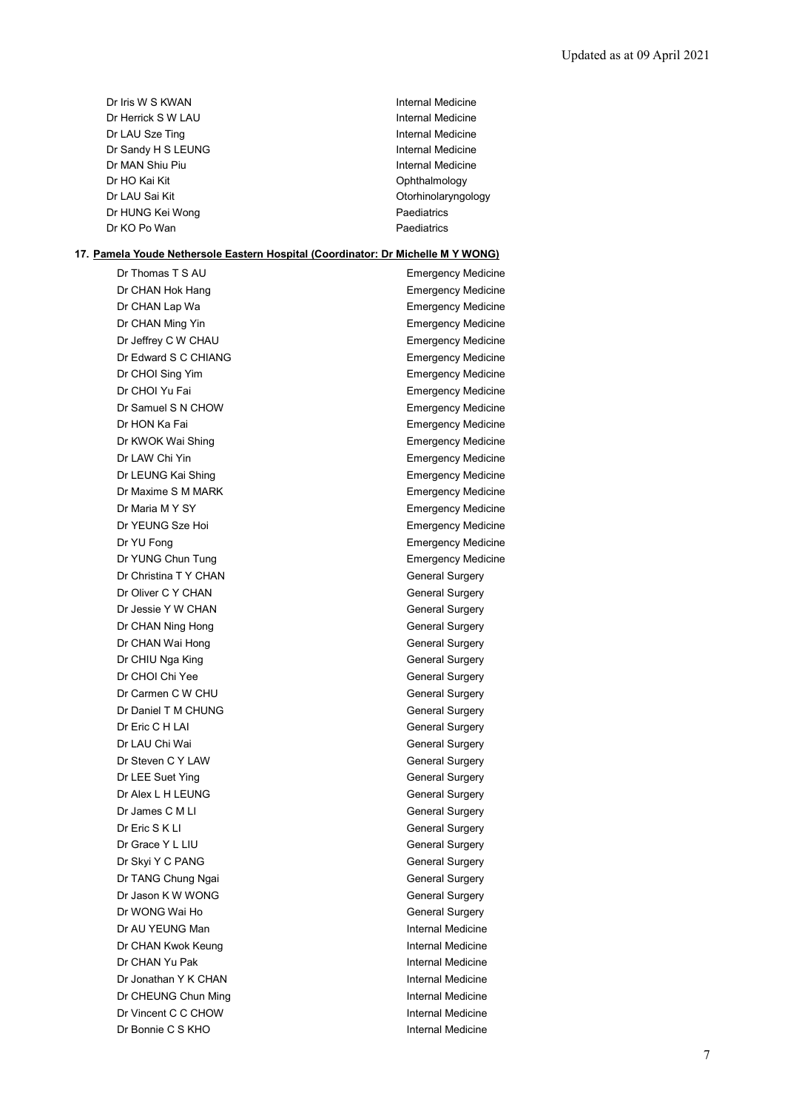| Dr Iris W S KWAN   | Internal Medicine   |
|--------------------|---------------------|
| Dr Herrick S W LAU | Internal Medicine   |
| Dr LAU Sze Ting    | Internal Medicine   |
| Dr Sandy H S LEUNG | Internal Medicine   |
| Dr MAN Shiu Piu    | Internal Medicine   |
| Dr HO Kai Kit      | Ophthalmology       |
| Dr LAU Sai Kit     | Otorhinolaryngology |
| Dr HUNG Kei Wong   | Paediatrics         |
| Dr KO Po Wan       | Paediatrics         |

# **17. Pamela Youde Nethersole Eastern Hospital (Coordinator: Dr Michelle M Y WONG)**

| Dr Thomas T S AU      | <b>Emergency Medicine</b> |
|-----------------------|---------------------------|
| Dr CHAN Hok Hang      | <b>Emergency Medicine</b> |
| Dr CHAN Lap Wa        | <b>Emergency Medicine</b> |
| Dr CHAN Ming Yin      | <b>Emergency Medicine</b> |
| Dr Jeffrey C W CHAU   | <b>Emergency Medicine</b> |
| Dr Edward S C CHIANG  | <b>Emergency Medicine</b> |
| Dr CHOI Sing Yim      | <b>Emergency Medicine</b> |
| Dr CHOI Yu Fai        | <b>Emergency Medicine</b> |
| Dr Samuel S N CHOW    | <b>Emergency Medicine</b> |
| Dr HON Ka Fai         | <b>Emergency Medicine</b> |
| Dr KWOK Wai Shing     | <b>Emergency Medicine</b> |
| Dr LAW Chi Yin        | <b>Emergency Medicine</b> |
| Dr LEUNG Kai Shing    | <b>Emergency Medicine</b> |
| Dr Maxime S M MARK    | <b>Emergency Medicine</b> |
| Dr Maria M Y SY       | <b>Emergency Medicine</b> |
| Dr YEUNG Sze Hoi      | <b>Emergency Medicine</b> |
| Dr YU Fong            | <b>Emergency Medicine</b> |
| Dr YUNG Chun Tung     | <b>Emergency Medicine</b> |
| Dr Christina T Y CHAN | <b>General Surgery</b>    |
| Dr Oliver C Y CHAN    | <b>General Surgery</b>    |
| Dr Jessie Y W CHAN    | <b>General Surgery</b>    |
| Dr CHAN Ning Hong     | <b>General Surgery</b>    |
| Dr CHAN Wai Hong      | <b>General Surgery</b>    |
| Dr CHIU Nga King      | General Surgery           |
| Dr CHOI Chi Yee       | <b>General Surgery</b>    |
| Dr Carmen C W CHU     | <b>General Surgery</b>    |
| Dr Daniel T M CHUNG   | <b>General Surgery</b>    |
| Dr Eric C H LAI       | General Surgery           |
| Dr LAU Chi Wai        | <b>General Surgery</b>    |
| Dr Steven C Y LAW     | <b>General Surgery</b>    |
| Dr LEE Suet Ying      | <b>General Surgery</b>    |
| Dr Alex L H LEUNG     | General Surgery           |
| Dr James C M LI       | General Surgery           |
| Dr Eric S K LI        | <b>General Surgery</b>    |
| Dr Grace Y L LIU      | <b>General Surgery</b>    |
| Dr Skyi Y C PANG      | General Surgery           |
| Dr TANG Chung Ngai    | <b>General Surgery</b>    |
| Dr Jason K W WONG     | <b>General Surgery</b>    |
| Dr WONG Wai Ho        | <b>General Surgery</b>    |
| Dr AU YEUNG Man       | <b>Internal Medicine</b>  |
| Dr CHAN Kwok Keung    | Internal Medicine         |
| Dr CHAN Yu Pak        | Internal Medicine         |
| Dr Jonathan Y K CHAN  | Internal Medicine         |
| Dr CHEUNG Chun Ming   | Internal Medicine         |
| Dr Vincent C C CHOW   | Internal Medicine         |
| Dr Bonnie C S KHO     | Internal Medicine         |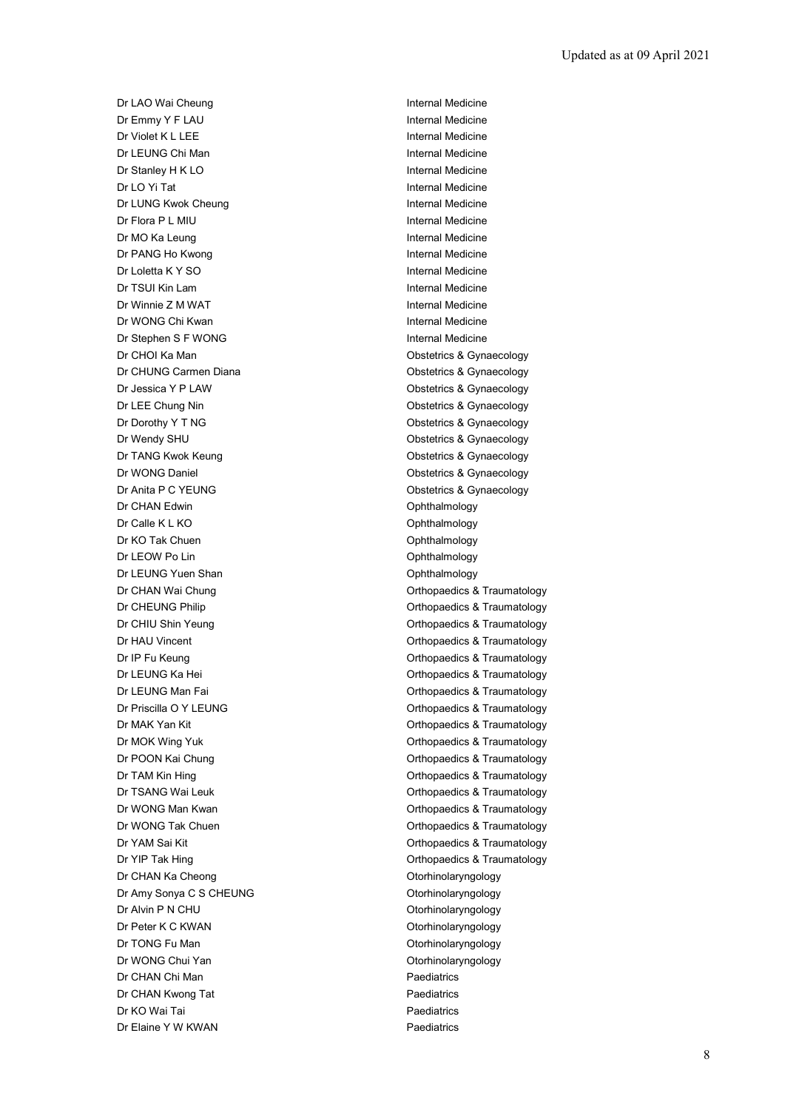Dr LAO Wai Cheung **Internal Medicine** Dr Emmy Y F LAU **Internal Medicine** Dr Violet K L LEE Internal Medicine Dr LEUNG Chi Man Internal Medicine Dr Stanley H K LO **Internal Medicine** Dr LO Yi Tat Internal Medicine Dr LUNG Kwok Cheung **Internal Medicine** Dr Flora P L MIU **Internal Medicine** Dr MO Ka Leung **Internal Medicine** Dr PANG Ho Kwong **Internal Medicine** Dr Loletta K Y SO **Internal Medicine** Dr TSUI Kin Lam Internal Medicine Dr Winnie Z M WAT **Internal Medicine** Dr WONG Chi Kwan **Internal Medicine** Dr Stephen S F WONG Internal Medicine Dr CHOI Ka Man **Dr CHOI Ka Man** Obstetrics & Gynaecology Dr CHUNG Carmen Diana **Diana** Obstetrics & Gynaecology Dr Jessica Y P LAW **Dr Jessica Y P LAW** Obstetrics & Gynaecology Dr LEE Chung Nin **Dr LEE Chung Nin** Chateria Chung Obstetrics & Gynaecology Dr Dorothy Y T NG CONSECTED THE CONSECTION Obstetrics & Gynaecology Dr Wendy SHU **Dr Wendy SHU** Obstetrics & Gynaecology Dr TANG Kwok Keung **Canadian Control Control Control Control Control Control Control Control Control Control Control Control Control Control Control Control Control Control Control Control Control Control Control Control C** Dr WONG Daniel **Dr WONG Daniel** Contract Contract Contract Contract Contract Contract Contract Contract Contract Contract Contract Contract Contract Contract Contract Contract Contract Contract Contract Contract Contract C Dr Anita P C YEUNG **CONSTRUSS** Obstetrics & Gynaecology Dr CHAN Edwin **Dr CHAN Edwin Ophthalmology** Dr Calle K L KO **Ophthalmology** Dr KO Tak Chuen **Ophthalmology** Dr LEOW Po Lin Contract Contract Contract Contract Contract Contract Contract Contract Contract Contract Contract Contract Contract Contract Contract Contract Contract Contract Contract Contract Contract Contract Contract Dr LEUNG Yuen Shan **Ophthalmology** Dr CHAN Wai Chung **Dr CHAN Wai Chung** Dr CHEUNG Philip **Dr CHEUNG Philip CHEUNG** Philip **CHEUNG** Philip **Orthopaedics & Traumatology** Dr CHIU Shin Yeung **Orthopaedics & Traumatology** Dr HAU Vincent **Orthopaedics & Traumatology Orthopaedics & Traumatology** Dr IP Fu Keung **Orthopaedics & Traumatology** Dr LEUNG Ka Hei **Dr Leunes Access Accord Control** Dr LEUNG Ka Hei Dr LEUNG Man Fai **Dr Leunes Access** Orthopaedics & Traumatology Dr Priscilla O Y LEUNG **Orthopaedics & Traumatology** Dr MAK Yan Kit **Orthopaedics & Traumatology** Dr MOK Wing Yuk **Dr MOK Wing Yuk Community** Orthopaedics & Traumatology Dr POON Kai Chung **Orthopaedics & Traumatology** Dr TAM Kin Hing **Canadian Control Control Control Control Control Control Control Control Control Control Control Control Control Control Control Control Control Control Control Control Control Control Control Control Cont** Dr TSANG Wai Leuk **Dr TSANG Wai Leuk** Christian Communication Control Control Orthopaedics & Traumatology Dr WONG Man Kwan **Orthopaedics & Traumatology** Dr WONG Tak Chuen **Orthopaedics & Traumatology** Dr YAM Sai Kit **Orthopaedics & Traumatology** Dr YIP Tak Hing **Dr YIP Tak Hing Community** Controller Controller Controller Controller Controller Controller Controller Controller Controller Controller Controller Controller Controller Controller Controller Controller Co Dr CHAN Ka Cheong **Otorhinolaryngology** Dr Amy Sonya C S CHEUNG **CONFERGATE:** Otorhinolaryngology Dr Alvin P N CHU **Dr Alvin P N CHU** Otorhinolaryngology Dr Peter K C KWAN **Otorhinolaryngology** Dr TONG Fu Man **Otorhinolaryngology** Dr WONG Chui Yan **Otorhinolaryngology** Dr CHAN Chi Man **Paediatrics Paediatrics** Dr CHAN Kwong Tat **Paediatrics** Paediatrics Dr KO Wai Tai **Paediatrics Paediatrics** Dr Elaine Y W KWAN Paediatrics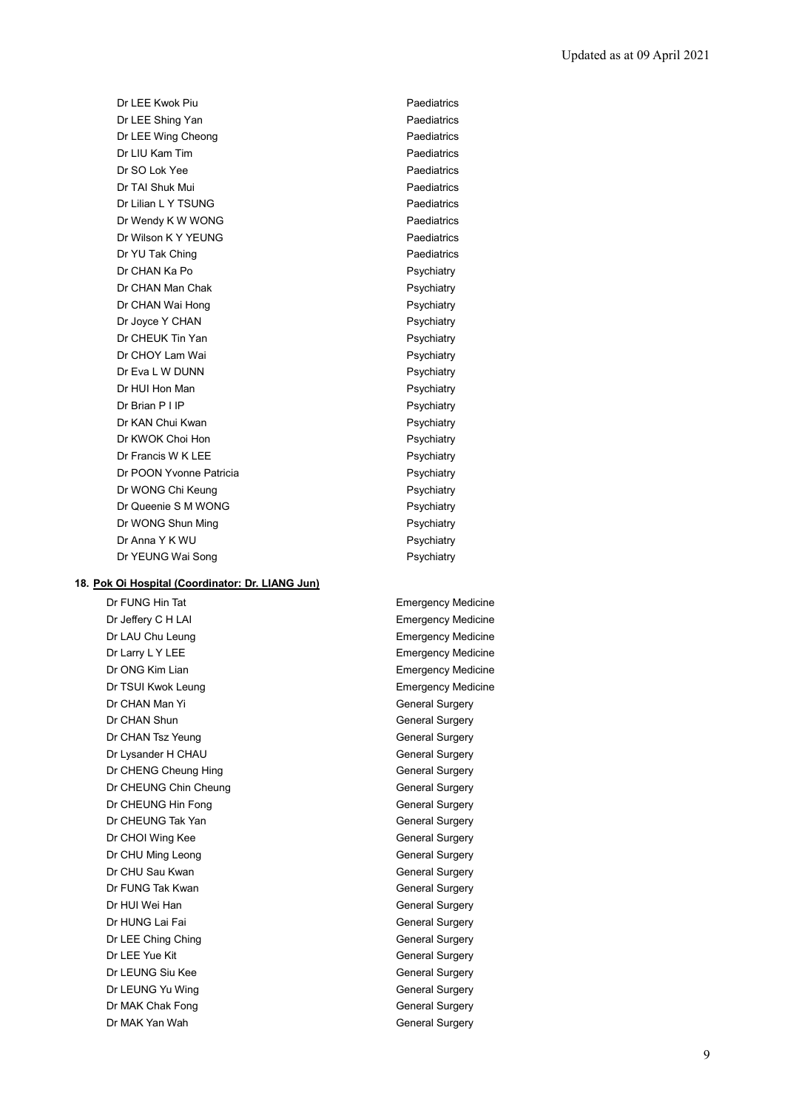Dr LEE Kwok Piu **Paediatrics** Dr LEE Shing Yan **Paediatrics** Dr LEE Wing Cheong **Paediatrics** Dr LIU Kam Tim Paediatrics Dr SO Lok Yee Paediatrics Dr TAI Shuk Mui **Paediatrics** Dr Lilian L Y TSUNG Paediatrics Dr Wendy K W WONG **Paediatrics** Dr Wilson K Y YEUNG Paediatrics Dr YU Tak Ching **Paediatrics** Paediatrics Dr CHAN Ka Po **Propriation** CHAN Ka Po Psychiatry Dr CHAN Man Chak **Psychiatry** Dr CHAN Wai Hong **Provides** Psychiatry Dr Joyce Y CHAN Psychiatry Dr CHEUK Tin Yan **Propriation** Psychiatry Dr CHOY Lam Wai **Psychiatry** Psychiatry Dr Eva L W DUNN Psychiatry Dr HUI Hon Man **Psychiatry** Psychiatry Dr Brian P I IP Psychiatry Dr KAN Chui Kwan **Psychiatry** Psychiatry Dr KWOK Choi Hon **Psychiatry** Dr Francis W K LEE Psychiatry Psychiatry Dr POON Yvonne Patricia **Principal Control Control Control Control Control Control Control Control Control Control Control Control Control Control Control Control Control Control Control Control Control Control Control Con** Dr WONG Chi Keung **Psychiatry** Psychiatry Dr Queenie S M WONG Psychiatry Dr WONG Shun Ming **Provides** Psychiatry Dr Anna Y K WU **Psychiatry** Dr YEUNG Wai Song Provider and Psychiatry

## **18. Pok Oi Hospital (Coordinator: Dr. LIANG Jun)**

Dr Jeffery C H LAI **Emergency Medicine** Dr LAU Chu Leung **Emergency Medicine** Dr Larry L Y LEE **Example 20** Emergency Medicine Dr ONG Kim Lian **Emergency Medicine** Dr TSUI Kwok Leung **Emergency Medicine** Dr CHAN Man Yi General Surgery Dr CHAN Shun General Surgery Dr CHAN Tsz Yeung General Surgery Dr Lysander H CHAU General Surgery Dr CHENG Cheung Hing General Surgery Dr CHEUNG Chin Cheung General Surgery Dr CHEUNG Hin Fong General Surgery Dr CHEUNG Tak Yan General Surgery Dr CHOI Wing Kee General Surgery Dr CHU Ming Leong General Surgery Dr CHU Sau Kwan General Surgery Dr FUNG Tak Kwan General Surgery Dr HUI Wei Han General Surgery Dr HUNG Lai Fai General Surgery Dr LEE Ching Ching General Surgery Dr LEE Yue Kit General Surgery Dr LEUNG Siu Kee General Surgery Dr LEUNG Yu Wing General Surgery Dr MAK Chak Fong General Surgery Dr MAK Yan Wah General Surgery

Dr FUNG Hin Tat **Emergency Medicine**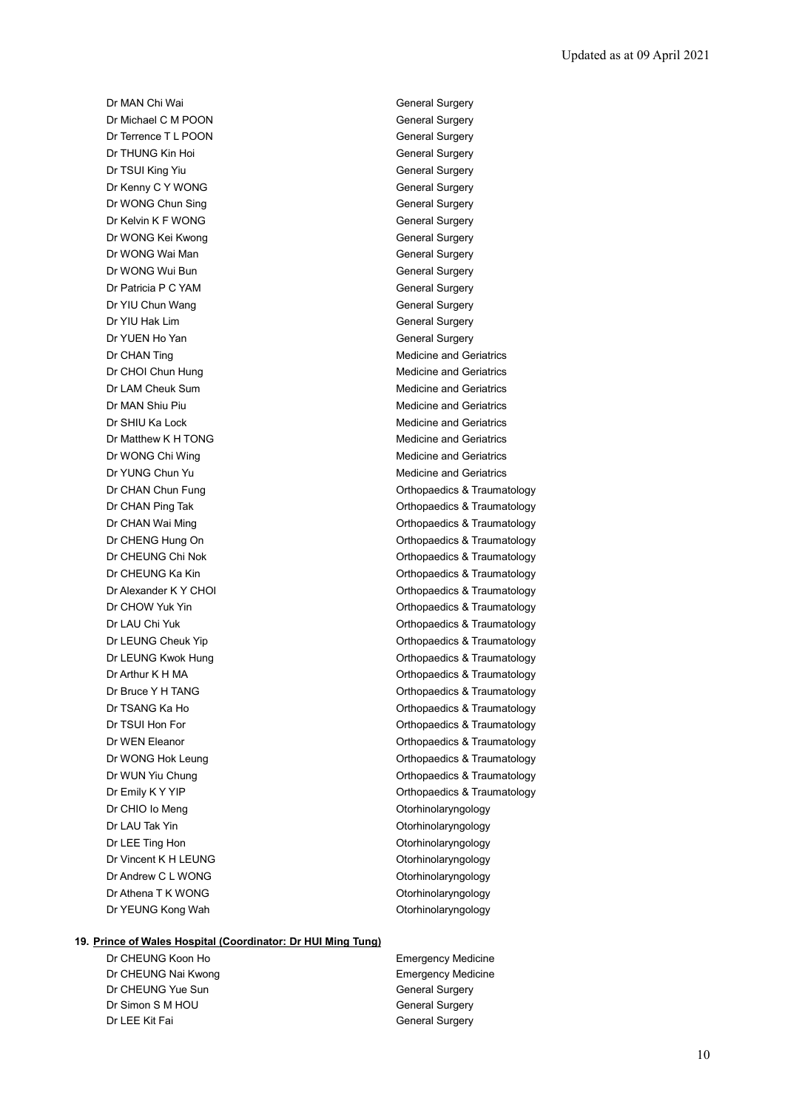Dr MAN Chi Wai General Surgery Dr Michael C M POON General Surgery Dr Terrence T L POON General Surgery **Dr THUNG Kin Hoi** General Surgery Dr TSUI King Yiu General Surgery Dr Kenny C Y WONG General Surgery Dr WONG Chun Sing General Surgery Dr Kelvin K F WONG General Surgery Dr WONG Kei Kwong General Surgery Dr WONG Wai Man General Surgery Dr WONG Wui Bun General Surgery Dr Patricia P C YAM General Surgery Dr YIU Chun Wang General Surgery Dr YIU Hak Lim General Surgery Dr YUEN Ho Yan General Surgery Dr CHAN Ting Medicine and Geriatrics Dr CHOI Chun Hung Medicine and Geriatrics Dr LAM Cheuk Sum **Medicine and Geriatrics** Medicine and Geriatrics Dr MAN Shiu Piu **Medicine and Geriatrics** Medicine and Geriatrics Dr SHIU Ka Lock **Medicine** and Geriatrics Medicine and Geriatrics Dr Matthew K H TONG Medicine and Geriatrics Dr WONG Chi Wing Medicine and Geriatrics Dr YUNG Chun Yu **Medicine** and Geriatrics Dr CHIO Io Meng **Otorhinolaryngology** Dr LAU Tak Yin **Otorhinolaryngology** Dr LEE Ting Hon Controller Controller Controller Controller Controller Controller Controller Controller Controller Controller Controller Controller Controller Controller Controller Controller Controller Controller Controll Dr Vincent K H LEUNG **Otorhinolaryngology** Dr Andrew C L WONG **Otorhinolaryngology** Dr Athena T K WONG **Otorhinolaryngology** 

Dr CHAN Chun Fung **Orthopaedics & Traumatology** Dr CHAN Ping Tak **Dr CHAN Ping Tak** Orthopaedics & Traumatology Dr CHAN Wai Ming **Dr CHAN Wai Ming Community** Christian Community Community Community Christian Christian Christ Dr CHENG Hung On **Orthopaedics & Traumatology** Dr CHEUNG Chi Nok **Dr CHEUNG** Chi Nok **Orthopaedics & Traumatology** Dr CHEUNG Ka Kin **Orthopaedics & Traumatology** Dr Alexander K Y CHOI CHORE CHOI CHORE Orthopaedics & Traumatology Dr CHOW Yuk Yin **Orthopaedics & Traumatology** Dr LAU Chi Yuk **Orthopaedics & Traumatology** Dr LEUNG Cheuk Yip **Change Cheuk Article Cheuk Article Cheuk Article Cheuk Cheuk Article Cheuk Article Cheuk Article Cheuk Article Cheuk Article Cheuk Article Cheuk Article Cheuk Article Cheuk Article Cheuk Article Cheuk A** Dr LEUNG Kwok Hung **Dr Leunes Access** Orthopaedics & Traumatology Dr Arthur K H MA **Dr Arthur K H MA** Orthopaedics & Traumatology Dr Bruce Y H TANG **Dr Bruce Y H TANG Orthopaedics & Traumatology** Dr TSANG Ka Ho **Orthopaedics & Traumatology** Dr TSUI Hon For **Orthopaedics & Traumatology** Dr WEN Eleanor **Orthopaedics & Traumatology** Dr WONG Hok Leung **Dr WONG Hok Leung Orthopaedics & Traumatology** Dr WUN Yiu Chung **Orthopaedics & Traumatology** Dr Emily K Y YIP Control of Control Control of Control Control Control Orthopaedics & Traumatology Dr YEUNG Kong Wah **Otorhinolaryngology** 

### **19. Prince of Wales Hospital (Coordinator: Dr HUI Ming Tung)**

Dr CHEUNG Koon Ho **Emergency Medicine** Dr CHEUNG Nai Kwong **Emergency Medicine** Dr CHEUNG Yue Sun General Surgery Dr Simon S M HOU General Surgery Dr LEE Kit Fai General Surgery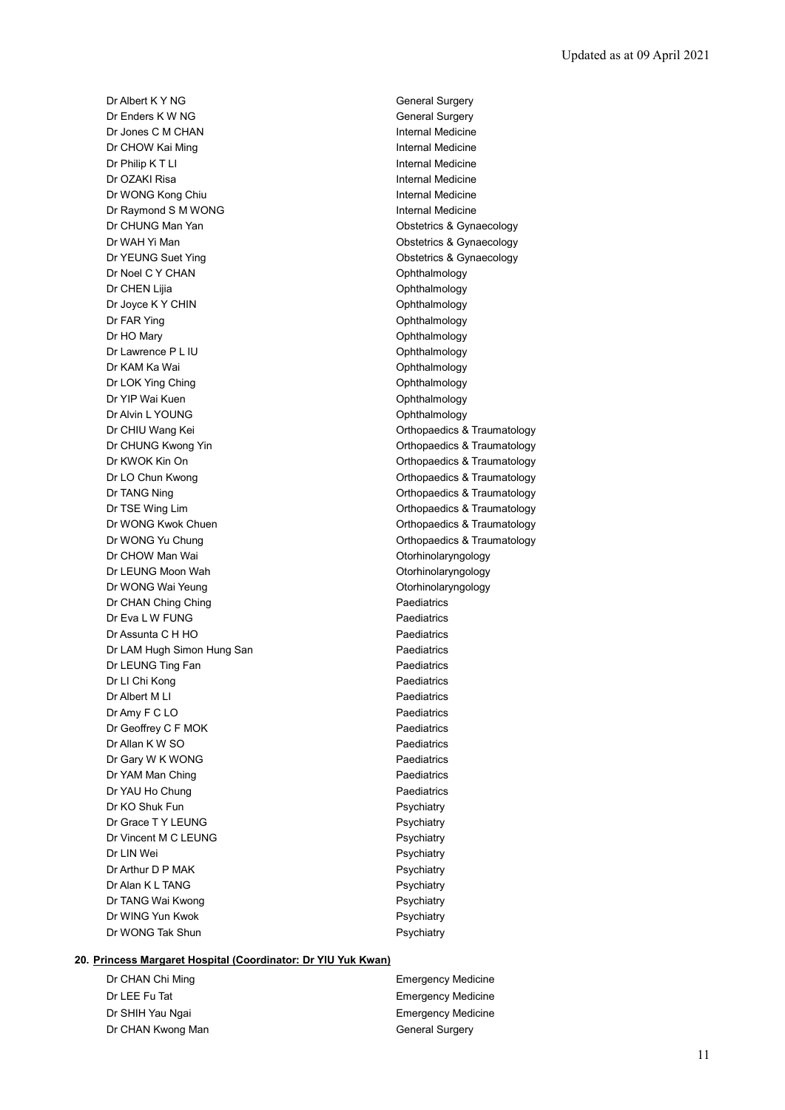Dr Albert K Y NG General Surgery Dr Enders K W NG General Surgery Dr Jones C M CHAN **Internal Medicine Dr CHOW Kai Ming Internal Medicine** Dr Philip K T LI **Internal Medicine** Dr OZAKI Risa **Internal Medicine** Dr WONG Kong Chiu **Internal Medicine** Dr Raymond S M WONG **Internal Medicine** Dr CHUNG Man Yan **Dr CHUNG Man Yan Obstetrics & Gynaecology** Dr WAH Yi Man **Obstetrics & Gynaecology** Dr YEUNG Suet Ying **Canadian Contract Contract Contract Contract Contract Contract Contract Contract Contract Contract Contract Contract Contract Contract Contract Contract Contract Contract Contract Contract Contract Cont** Dr Noel C Y CHAN Ophthalmology Dr CHEN Lilia **Ophthalmology** Dr Joyce K Y CHIN CONSERVIATE CHING CONTROLLER CHING OP OP CONTROLLER CHING'S CONTROLLER CHING'S CONTROLLER CHING'S Dr FAR Ying **Ophthalmology** Dr HO Mary **Ophthalmology** Dr Lawrence P L IU Ophthalmology Dr KAM Ka Wai **Ophthalmology** Dr LOK Ying Ching **Ophthalmology** Dr YIP Wai Kuen **Ophthalmology** Ophthalmology Dr Alvin L YOUNG **Ophthalmology** Dr CHIU Wang Kei **Dr CHIU Wang Kei China and America** China and Orthopaedics & Traumatology Dr CHUNG Kwong Yin **Dr CHUNG Kwong Yin** Christian Christ Christian Christian Christian Christian Christ Christ Christ Christ Christ Christ Christ Christ Christ Christ Christ Christ Christ Christ Christ Christ Christ Christ Dr KWOK Kin On **Orthopaedics & Traumatology** Dr LO Chun Kwong **Orthopaedics & Traumatology** Dr TANG Ning **Dr TANG Ning Community** Critics **Community** Orthopaedics & Traumatology Dr TSE Wing Lim **Dr TSE Wing Lim Orthopaedics & Traumatology** Dr WONG Kwok Chuen **Orthopaedics & Traumatology** Dr WONG Yu Chung **Orthopaedics & Traumatology** Dr CHOW Man Wai **CHOW Man Wai** CHOW Man Wai CHOW Man Wai CHOW Man Wai CHOW Man Wai CHOW Man Otorhinolaryngology Dr LEUNG Moon Wah **Otorhinolaryngology** Dr WONG Wai Yeung **Otorhinolaryngology** Dr CHAN Ching Ching **Paediatrics** Dr Eva L W FUNG Paediatrics Dr Assunta C H HO Paediatrics Dr LAM Hugh Simon Hung San **Paediatrics** Dr LEUNG Ting Fan **Paediatrics** Paediatrics Dr LI Chi Kong **Paediatrics** Dr Albert M LI Paediatrics Dr Amy F C LO Paediatrics Dr Geoffrey C F MOK Paediatrics Dr Allan K W SO **Paediatrics** Dr Gary W K WONG Paediatrics Dr YAM Man Ching **Paediatrics Paediatrics** Dr YAU Ho Chung **Paediatrics** Dr KO Shuk Fun **Psychiatry** Psychiatry Dr Grace T Y LEUNG Psychiatry Dr Vincent M C LEUNG Psychiatry Dr LIN Wei **Psychiatry** Dr Arthur D P MAK Psychiatry Dr Alan K L TANG Psychiatry Dr TANG Wai Kwong **Property** Psychiatry Dr WING Yun Kwok **Psychiatry** Dr WONG Tak Shun **Psychiatry** Psychiatry

## **20. Princess Margaret Hospital (Coordinator: Dr YIU Yuk Kwan)**

Dr CHAN Chi Ming **Emergency Medicine** Dr LEE Fu Tat **Emergency Medicine** Dr SHIH Yau Ngai **Emergency Medicine** Dr CHAN Kwong Man General Surgery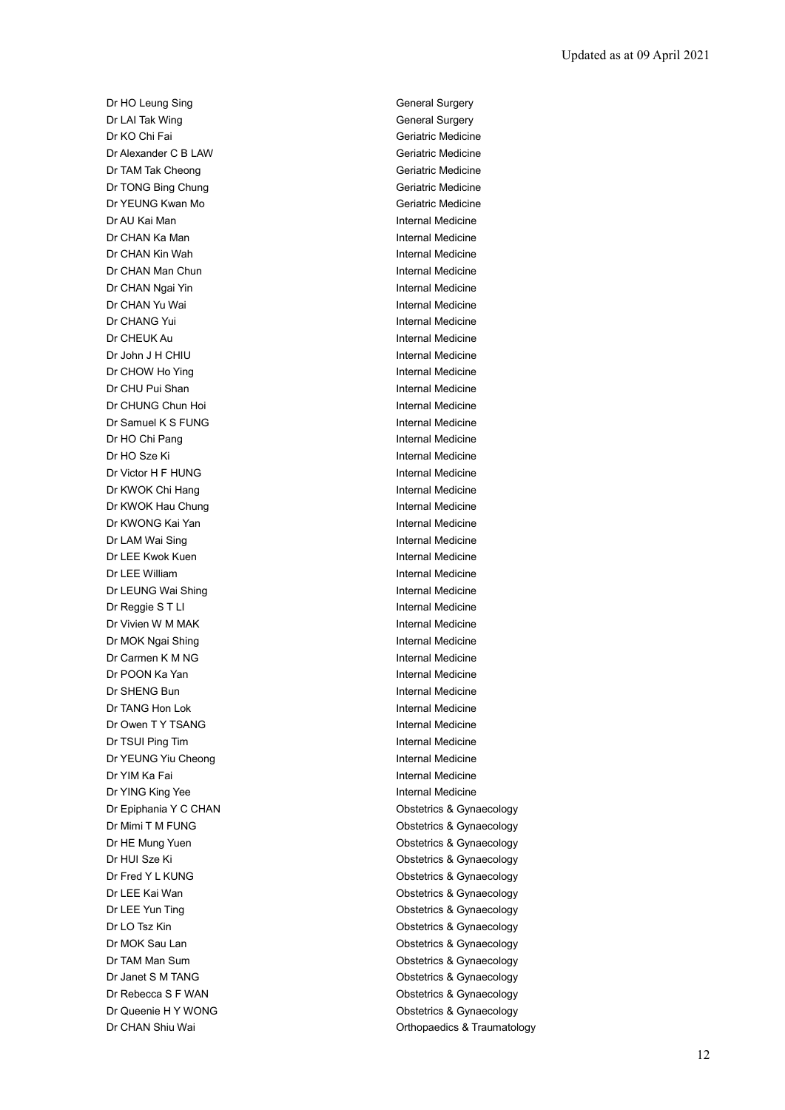Dr HO Leung Sing General Surgery Dr LAI Tak Wing **General Surgery** General Surgery Dr KO Chi Fai Geriatric Medicine Dr Alexander C B LAW Geriatric Medicine Dr TAM Tak Cheong Geriatric Medicine Dr TONG Bing Chung Geriatric Medicine Dr YEUNG Kwan Mo **Geriatric Medicine** Dr AU Kai Man Internal Medicine **Dr CHAN Ka Man** Internal Medicine Dr CHAN Kin Wah **Internal Medicine** Dr CHAN Man Chun **Internal Medicine Dr CHAN Ngai Yin Internal Medicine Internal Medicine** Dr CHAN Yu Wai **Internal Medicine** Dr CHANG Yui **Internal Medicine** Dr CHEUK Au **Internal Medicine** Dr John J H CHIU **Internal Medicine** Dr CHOW Ho Ying **Internal Medicine** Dr CHU Pui Shan **Internal Medicine** Dr CHUNG Chun Hoi **Internal Medicine** Dr Samuel K S FUNG Internal Medicine Dr HO Chi Pang Internal Medicine Dr HO Sze Ki **Internal Medicine** Dr Victor H F HUNG Internal Medicine Dr KWOK Chi Hang Internal Medicine Dr KWOK Hau Chung **Internal Medicine** Dr KWONG Kai Yan **Internal Medicine** Dr LAM Wai Sing **Internal Medicine** Dr LEE Kwok Kuen **Internal Medicine** Dr LEE William Internal Medicine Dr LEUNG Wai Shing **Internal Medicine** Dr Reggie S T LI internal Medicine Dr Vivien W M MAK Internal Medicine Dr MOK Ngai Shing **Internal Medicine** Dr Carmen K M NG **Internal Medicine** Dr POON Ka Yan Internal Medicine Dr SHENG Bun **Internal Medicine** Dr TANG Hon Lok Internal Medicine Dr Owen T Y TSANG Internal Medicine Dr TSUI Ping Tim **Internal Medicine** Dr YEUNG Yiu Cheong **Internal Medicine** Dr YIM Ka Fai **Internal Medicine** Dr YING King Yee **Internal Medicine** Dr Epiphania Y C CHAN **Obstetrics & Gynaecology** Dr Mimi T M FUNG **Dr Mimi T M FUNG Obstetrics & Gynaecology** Dr HE Mung Yuen **Obstetrics & Gynaecology** Dr HUI Sze Ki **Obstetrics & Gynaecology** Dr Fred Y L KUNG **CONSTRUCTED A CONSTRUCT CONSTRUCT** Obstetrics & Gynaecology Dr LEE Kai Wan **Obstetrics & Gynaecology** Dr LEE Yun Ting **Dr LEE Yun Ting Contract Contract Contract Contract Contract Contract Contract Contract Contract Contract Contract Contract Contract Contract Contract Contract Contract Contract Contract Contract Contract** Dr LO Tsz Kin **Obstetrics & Gynaecology** Dr MOK Sau Lan **Obstetrics & Gynaecology** Dr TAM Man Sum **Dr TAM Man Sum** Constant Constant Constant Constant Constant Constant Constant Constant Constant Dr Janet S M TANG **Dr Janet S M TANG Obstetrics & Gynaecology** Dr Rebecca S F WAN **Dr Rebecca S F WAN** Obstetrics & Gynaecology Dr Queenie H Y WONG **Obstetrics & Gynaecology** Dr CHAN Shiu Wai **Dr CHAN Shiu Wai Channel Channel Channel Channel Channel Channel Channel Channel Channel Channel Channel Channel Channel Channel Channel Channel Channel Channel Channel Channel Channel Channel Channel Cha**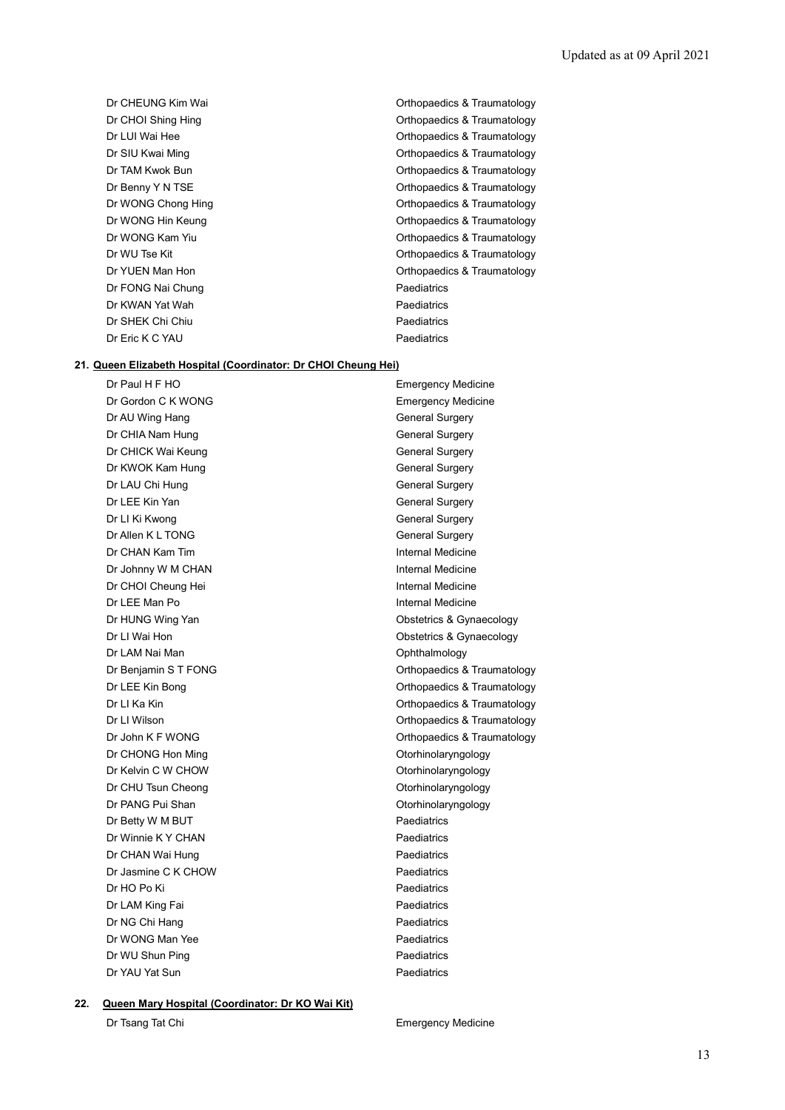- Dr FONG Nai Chung **Paediatrics** Paediatrics Dr KWAN Yat Wah **Paediatrics** Dr SHEK Chi Chiu **Paediatrics** Paediatrics Dr Eric K C YAU **Paediatrics**
- Dr CHEUNG Kim Wai **Dr CHEUNG Kim Wai Orthopaedics & Traumatology** Dr CHOI Shing Hing **CHOI Shing COLL CONTAINS A** Crime Orthopaedics & Traumatology Dr LUI Wai Hee **Orthopaedics & Traumatology** Dr SIU Kwai Ming **Orthopaedics & Traumatology** Dr TAM Kwok Bun **Orthopaedics & Traumatology Orthopaedics & Traumatology** Dr Benny Y N TSE **Orthopaedics & Traumatology** Dr WONG Chong Hing **Change Changes** Christ Christ Christ Christ Christ Christ Christ Christ Christ Christ Christ Christ Christ Christ Christ Christ Christ Christ Christ Christ Christ Christ Christ Christ Christ Christ Chri Dr WONG Hin Keung **Dr WONG Hin Keung** Dr WONG Kam Yiu **Orthopaedics & Traumatology** Dr WU Tse Kit **Dr WU Tse Kit Contract Contract Contract Contract Contract Contract Contract Contract Contract Contract Contract Contract Contract Contract Contract Contract Contract Contract Contract Contract Contract Cont** Dr YUEN Man Hon **Dr YUEN Man Hon** Orthopaedics & Traumatology

#### **21. Queen Elizabeth Hospital (Coordinator: Dr CHOI Cheung Hei)**

Dr Gordon C K WONG **Emergency Medicine** Dr AU Wing Hang General Surgery Dr CHIA Nam Hung General Surgery Dr CHICK Wai Keung General Surgery Dr KWOK Kam Hung General Surgery Dr LAU Chi Hung General Surgery Dr LEE Kin Yan General Surgery Dr LI Ki Kwong **General Surgery** Dr Allen K L TONG General Surgery Dr CHAN Kam Tim **Internal Medicine** Dr Johnny W M CHAN **Internal Medicine** Dr CHOI Cheung Hei **Internal Medicine** Dr LEE Man Po **Internal Medicine** Dr HUNG Wing Yan **Obstetrics & Gynaecology** Dr LI Wai Hon **Dr Li Wai Hon** Obstetrics & Gynaecology Dr LAM Nai Man **Ophthalmology** Dr Benjamin S T FONG **Orthopaedics & Traumatology** Dr LEE Kin Bong **Orthopaedics & Traumatology** Dr LI Ka Kin **Orthopaedics & Traumatology** Dr LI Wilson **Dr LI Wilson** Content of Content Content Content Content Content Orthopaedics & Traumatology Dr John K F WONG **Orthopaedics & Traumatology** Dr CHONG Hon Ming **Dr CHONG Hon Ming CHONG** Dr CHONG Hon Ming Dr Kelvin C W CHOW **Otorhinolaryngology** Dr CHU Tsun Cheong **Otomachinolaryngology** Dr PANG Pui Shan **Otorhinolaryngology** Dr Betty W M BUT **Paediatrics** Dr Winnie K Y CHAN Paediatrics Dr CHAN Wai Hung **Paediatrics** Paediatrics Dr Jasmine C K CHOW **Paediatrics** Dr HO Po Ki Paediatrics Dr LAM King Fai **Paediatrics** Paediatrics Dr NG Chi Hang Paediatrics Dr WONG Man Yee Paediatrics Dr WU Shun Ping **Paediatrics** Dr YAU Yat Sun **Paediatrics** 

Dr Paul H F HO **Emergency Medicine** 

#### **22. Queen Mary Hospital (Coordinator: Dr KO Wai Kit)**

Dr Tsang Tat Chi **Emergency Medicine**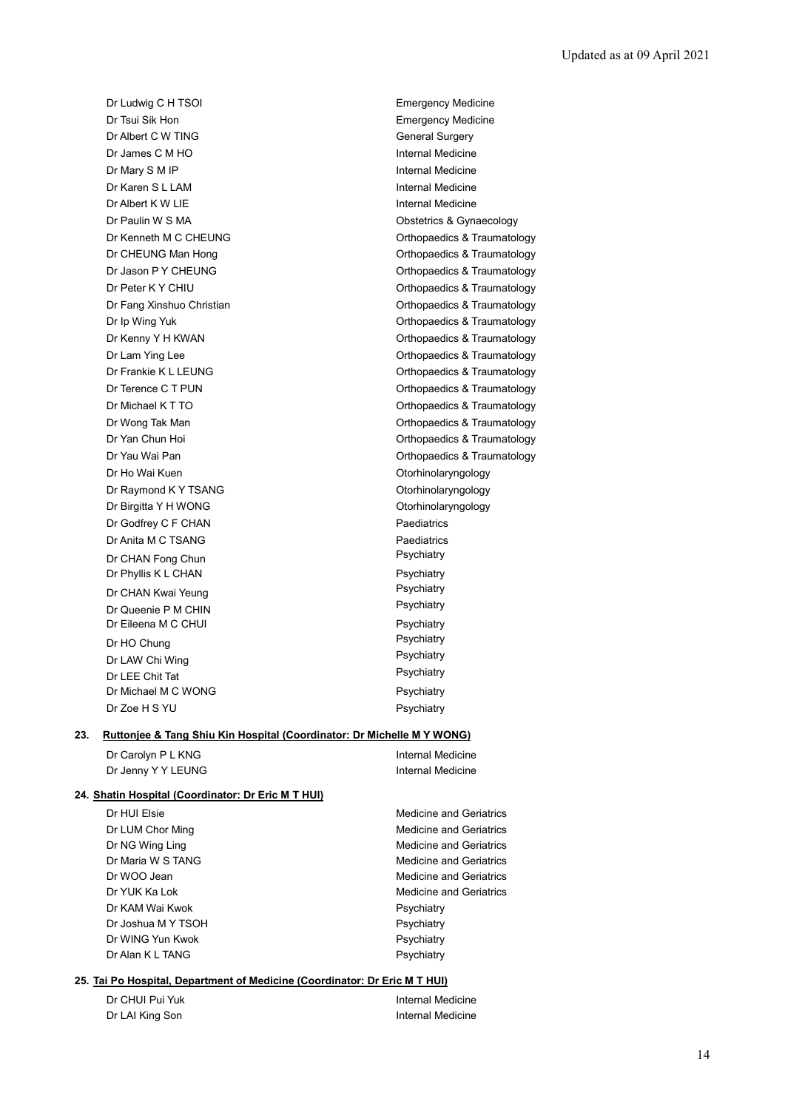Dr Ludwig C H TSOI **Emergency Medicine** Dr Tsui Sik Hon **Emergency Medicine** Dr Albert C W TING General Surgery Dr James C M HO **Internal Medicine** Dr Mary S M IP **Internal Medicine** Dr Karen S L LAM **Internal Medicine** Dr Albert K W LIE **Internal Medicine** Dr Paulin W S MA **Dr** Paulin W S MA Dr Ho Wai Kuen **Otorhinolaryngology** Dr Raymond K Y TSANG **Otorhinolaryngology** Dr Birgitta Y H WONG **Otorhinolaryngology** Dr Godfrey C F CHAN Paediatrics Dr Anita M C TSANG Paediatrics Dr CHAN Fong Chun **Psychiatry** Dr Phyllis K L CHAN Psychiatry Dr CHAN Kwai Yeung **Properties and CHAN Kwai Yeung Properties Act of Properties Act of Properties Act of Properties Act of Properties Act of Properties Act of Properties Act of Properties Act of Properties Act of Propertie** Dr Queenie P M CHIN Dr Eileena M C CHUI Psychiatry Dr HO Chung<br>
Dr LAM Chi Ming<br>
Psychiatry Dr LAW Chi Wing Property Chi Wing Psychiatry<br>Psychiatry Psychiatry<br>Psychiatry Dr LEE Chit Tat Dr Michael M C WONG Psychiatry Dr Zoe H S YU Psychiatry

Dr Kenneth M C CHEUNG **CHEUNG CHEUNG COLLEGE CONSTRAINING** Orthopaedics & Traumatology Dr CHEUNG Man Hong **CHEUNG** Man Hong **CHEUNG** Man Hong Dr Jason P Y CHEUNG **Dr Jason P Y CHEUNG** Dr Peter K Y CHIU **Dr Peter K Y CHIU Orthopaedics & Traumatology** Dr Fang Xinshuo Christian **Orthopaedics & Traumatology** Dr Ip Wing Yuk **Dr Ip Wing Yuk Critical Contract Contract Critical** Critical Orthopaedics & Traumatology Dr Kenny Y H KWAN **Dr Kenny Y H KWAN Orthopaedics & Traumatology** Dr Lam Ying Lee **Orthopaedics & Traumatology** Dr Frankie K L LEUNG **CONFERENT CONTROL** Controller Controller Controller Controller Controller Controller Controller Controller Controller Controller Controller Controller Controller Controller Controller Controller Contr Dr Terence C T PUN **Dr Terence C T PUN** Orthopaedics & Traumatology Dr Michael K T TO **Orthopaedics & Traumatology** Dr Wong Tak Man **Orthopaedics & Traumatology Orthopaedics & Traumatology** Dr Yan Chun Hoi **Orthopaedics & Traumatology** Dr Yau Wai Pan Orthopaedics & Traumatology

## **23. Ruttonjee & Tang Shiu Kin Hospital (Coordinator: Dr Michelle M Y WONG)**

| Dr Carolyn P L KNG | <b>Internal Medicine</b> |
|--------------------|--------------------------|
| Dr Jenny Y Y LEUNG | <b>Internal Medicine</b> |

#### **24. Shatin Hospital (Coordinator: Dr Eric M T HUI)**

Dr HUI Elsie Medicine and Geriatrics Dr LUM Chor Ming Medicine and Geriatrics Dr NG Wing Ling Medicine and Geriatrics Dr Maria W S TANG Medicine and Geriatrics Dr WOO Jean **Medicine** and Geriatrics **Dr WOO** Jean Dr YUK Ka Lok Medicine and Geriatrics Dr KAM Wai Kwok **Psychiatry** Psychiatry Dr Joshua M Y TSOH Psychiatry Dr WING Yun Kwok **Psychiatry** Dr Alan K L TANG Psychiatry

#### **25. Tai Po Hospital, Department of Medicine (Coordinator: Dr Eric M T HUI)**

| Dr CHUI Pui Yuk | Internal Medicine |
|-----------------|-------------------|
| Dr LAI King Son | Internal Medicine |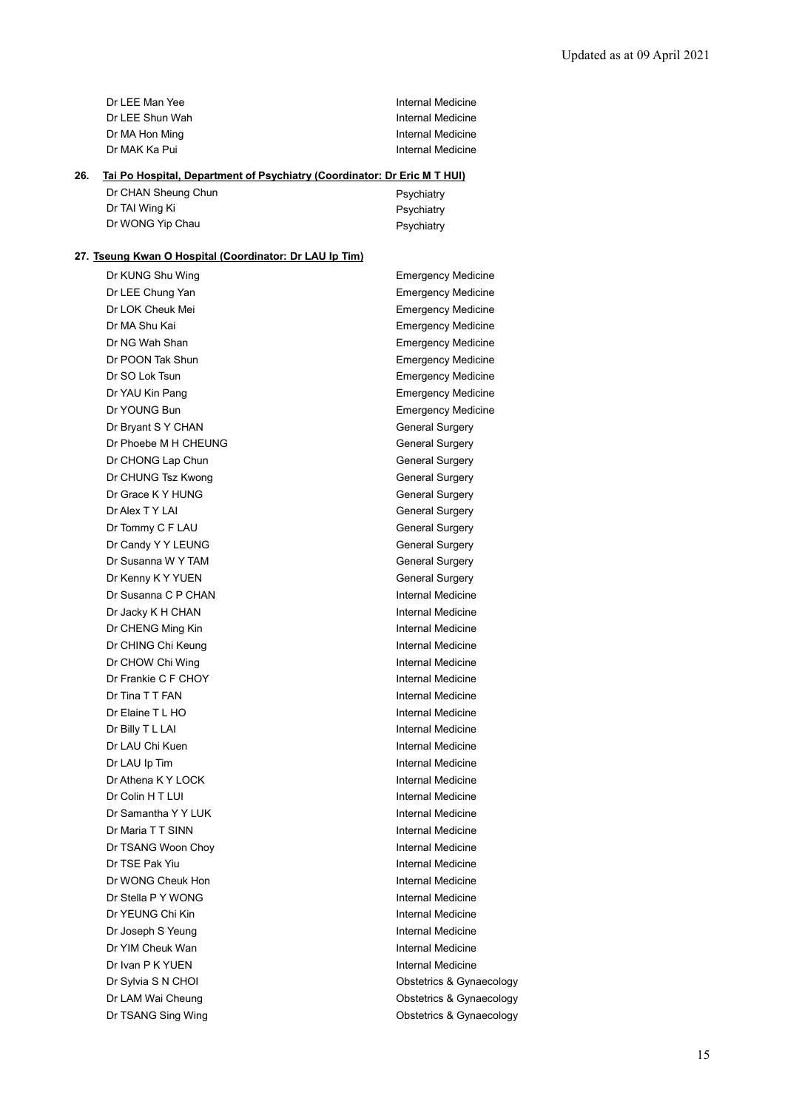| Dr LEE Man Yee  | Internal Medicine |
|-----------------|-------------------|
| Dr LEE Shun Wah | Internal Medicine |
| Dr MA Hon Ming  | Internal Medicine |
| Dr MAK Ka Pui   | Internal Medicine |

# **26. Tai Po Hospital, Department of Psychiatry (Coordinator: Dr Eric M T HUI)**

| Dr CHAN Sheung Chun | Psychiatry |
|---------------------|------------|
| Dr TAI Wing Ki      | Psychiatry |
| Dr WONG Yip Chau    | Psychiatry |

# **27. Tseung Kwan O Hospital (Coordinator: Dr LAU Ip Tim)**

| Dr KUNG Shu Wing     | <b>Emergency Medicine</b> |
|----------------------|---------------------------|
| Dr LEE Chung Yan     | <b>Emergency Medicine</b> |
| Dr LOK Cheuk Mei     | <b>Emergency Medicine</b> |
| Dr MA Shu Kai        | <b>Emergency Medicine</b> |
| Dr NG Wah Shan       | <b>Emergency Medicine</b> |
| Dr POON Tak Shun     | <b>Emergency Medicine</b> |
| Dr SO Lok Tsun       | <b>Emergency Medicine</b> |
| Dr YAU Kin Pang      | <b>Emergency Medicine</b> |
| Dr YOUNG Bun         | <b>Emergency Medicine</b> |
| Dr Bryant S Y CHAN   | <b>General Surgery</b>    |
| Dr Phoebe M H CHEUNG | <b>General Surgery</b>    |
| Dr CHONG Lap Chun    | <b>General Surgery</b>    |
| Dr CHUNG Tsz Kwong   | General Surgery           |
| Dr Grace K Y HUNG    | <b>General Surgery</b>    |
| Dr Alex T Y LAI      | <b>General Surgery</b>    |
| Dr Tommy C F LAU     | <b>General Surgery</b>    |
| Dr Candy Y Y LEUNG   | <b>General Surgery</b>    |
| Dr Susanna W Y TAM   | <b>General Surgery</b>    |
| Dr Kenny K Y YUEN    | <b>General Surgery</b>    |
| Dr Susanna C P CHAN  | Internal Medicine         |
| Dr Jacky K H CHAN    | Internal Medicine         |
| Dr CHENG Ming Kin    | Internal Medicine         |
| Dr CHING Chi Keung   | <b>Internal Medicine</b>  |
| Dr CHOW Chi Wing     | Internal Medicine         |
| Dr Frankie C F CHOY  | Internal Medicine         |
| Dr Tina T T FAN      | Internal Medicine         |
| Dr Elaine T L HO     | Internal Medicine         |
| Dr Billy T L LAI     | Internal Medicine         |
| Dr LAU Chi Kuen      | Internal Medicine         |
| Dr LAU Ip Tim        | <b>Internal Medicine</b>  |
| Dr Athena K Y LOCK   | <b>Internal Medicine</b>  |
| Dr Colin H T LUI     | Internal Medicine         |
| Dr Samantha Y Y LUK  | <b>Internal Medicine</b>  |
| Dr Maria T T SINN    | Internal Medicine         |
| Dr TSANG Woon Choy   | Internal Medicine         |
| Dr TSE Pak Yiu       | Internal Medicine         |
| Dr WONG Cheuk Hon    | Internal Medicine         |
| Dr Stella P Y WONG   | Internal Medicine         |
| Dr YEUNG Chi Kin     | Internal Medicine         |
| Dr Joseph S Yeung    | Internal Medicine         |
| Dr YIM Cheuk Wan     | Internal Medicine         |
| Dr Ivan P K YUEN     | Internal Medicine         |
| Dr Sylvia S N CHOI   | Obstetrics & Gynaecology  |
| Dr LAM Wai Cheung    | Obstetrics & Gynaecology  |
| Dr TSANG Sing Wing   | Obstetrics & Gynaecology  |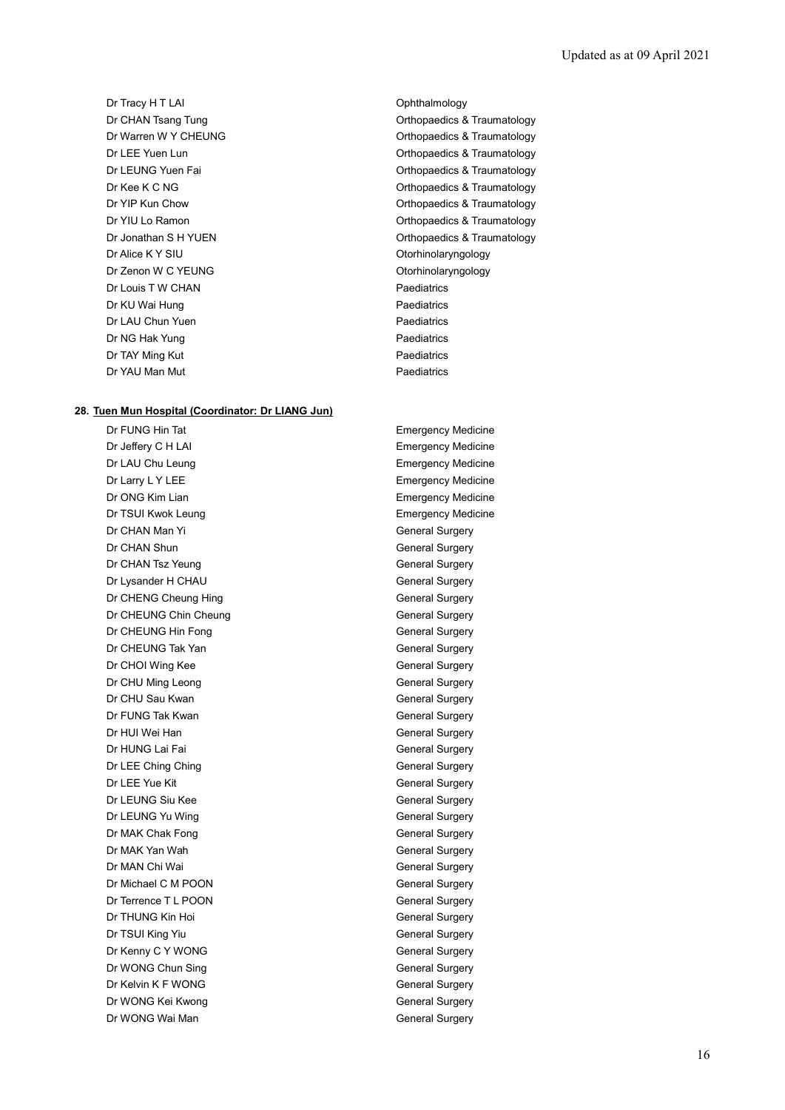Dr Tracy H T LAI **Dr Tracy H T LAI** Ophthalmology Dr Alice K Y SIU Contract Contract Contract Contract Contract Contract Contract Contract Contract Contract Contract Contract Contract Contract Contract Contract Contract Contract Contract Contract Contract Contract Contrac Dr Zenon W C YEUNG **Other CONGLITE CONSUMING** Otorhinolaryngology Dr Louis T W CHAN Paediatrics Dr KU Wai Hung **Paediatrics** Dr LAU Chun Yuen **Paediatrics Paediatrics** Dr NG Hak Yung **Paediatrics** Paediatrics Dr TAY Ming Kut **Paediatrics** Dr YAU Man Mut **Paediatrics** 

#### **28. Tuen Mun Hospital (Coordinator: Dr LIANG Jun)**

Dr Jeffery C H LAI **Emergency Medicine** Dr LAU Chu Leung **Emergency Medicine** Dr Larry L Y LEE **Example 20** The Emergency Medicine Dr ONG Kim Lian **Emergency Medicine** Dr TSUI Kwok Leung **Emergency Medicine** Dr CHAN Man Yi General Surgery Dr CHAN Shun General Surgery Dr CHAN Tsz Yeung General Surgery Dr Lysander H CHAU General Surgery Dr CHENG Cheung Hing General Surgery Dr CHEUNG Chin Cheung General Surgery Dr CHEUNG Hin Fong General Surgery Dr CHEUNG Tak Yan General Surgery Dr CHOI Wing Kee General Surgery Dr CHU Ming Leong General Surgery Dr CHU Sau Kwan General Surgery Dr FUNG Tak Kwan General Surgery Dr HUI Wei Han General Surgery Dr HUNG Lai Fai General Surgery Dr LEE Ching Ching General Surgery Dr LEE Yue Kit General Surgery Dr LEUNG Siu Kee General Surgery Dr LEUNG Yu Wing General Surgery Dr MAK Chak Fong General Surgery Dr MAK Yan Wah General Surgery Dr MAN Chi Wai **General Surgery** Dr Michael C M POON General Surgery Dr Terrence T L POON General Surgery Dr THUNG Kin Hoi General Surgery Dr TSUI King Yiu **General Surgery** General Surgery Dr Kenny C Y WONG General Surgery Dr WONG Chun Sing General Surgery Dr Kelvin K F WONG General Surgery Dr WONG Kei Kwong General Surgery Dr WONG Wai Man General Surgery

Dr CHAN Tsang Tung **CHAN Tsang Tung COLL CONTACT CONTACT CONTACT CONTACT CONTACT CONTACT CONTACT CONTACT CONTACT CONTACT CONTACT CONTACT CONTACT CONTACT CONTACT CONTACT CONTACT CONTACT CONTACT CONTACT CONTACT CONTACT CONTA** Dr Warren W Y CHEUNG **Orthopaedics & Traumatology** Dr LEE Yuen Lun **Dr LEE Yuen Lun** Orthopaedics & Traumatology Dr LEUNG Yuen Fai **Dr Letter Controller Controller Controller** Controller Controller Controller Controller Controller Controller Controller Controller Controller Controller Controller Controller Controller Controller Contr Dr Kee K C NG **Orthopaedics & Traumatology** Dr YIP Kun Chow **Orthopaedics & Traumatology** Dr YIU Lo Ramon **Orthopaedics & Traumatology** Dr Jonathan S H YUEN CHANGE CONSUMER CONTROLLER CHANGE Orthopaedics & Traumatology

Dr FUNG Hin Tat **Emergency Medicine**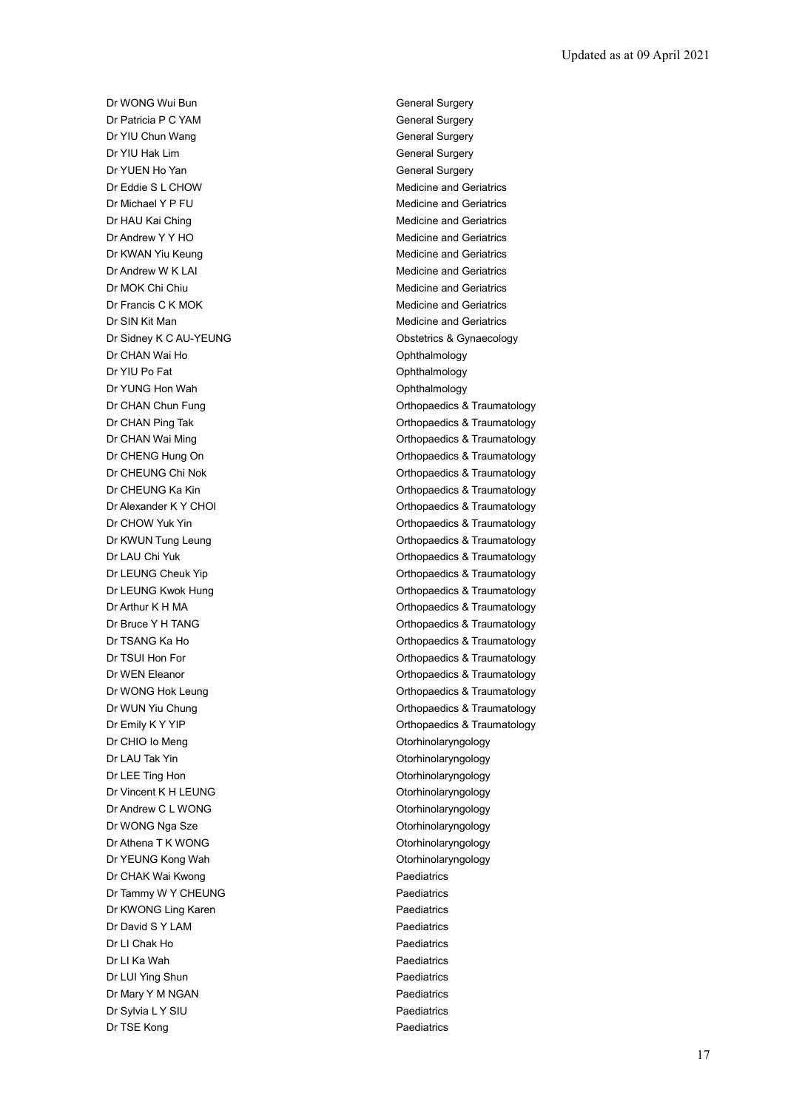Dr WONG Wui Bun General Surgery Dr Patricia P C YAM General Surgery Dr YIU Chun Wang General Surgery **Dr YIU Hak Lim General Surgery** General Surgery Dr YUEN Ho Yan General Surgery Dr Eddie S L CHOW Medicine and Geriatrics Dr Michael Y P FU **Network** Medicine and Geriatrics Dr HAU Kai Ching Medicine and Geriatrics Dr Andrew Y Y HO Medicine and Geriatrics Dr KWAN Yiu Keung Medicine and Geriatrics Dr Andrew W K LAI Medicine and Geriatrics Dr MOK Chi Chiu Medicine and Geriatrics Dr Francis C K MOK Medicine and Geriatrics Dr SIN Kit Man **Medicine and Geriatrics** Medicine and Geriatrics Dr Sidney K C AU-YEUNG **CONSERVING** Obstetrics & Gynaecology Dr CHAN Wai Ho **Ophthalmology Ophthalmology** Dr YIU Po Fat **Ophthalmology** Dr YUNG Hon Wah **Ophthalmology** Ophthalmology Dr CHIO Io Meng **Otorhinolaryngology** Dr LAU Tak Yin **Otorhinolaryngology** Dr LEE Ting Hon Contact Contact Contact Contact Contact Contact Contact Contact Contact Contact Contact Contact Contact Contact Contact Contact Contact Contact Contact Contact Contact Contact Contact Contact Contact Contac Dr Vincent K H LEUNG **Otorhinolaryngology** Dr Andrew C L WONG **Otorhinolaryngology** Dr WONG Nga Sze **Otorhinolaryngology** Dr Athena T K WONG **Otorhinolaryngology** Dr YEUNG Kong Wah **Otorhinolaryngology** Dr CHAK Wai Kwong **Paediatrics** Paediatrics Dr Tammy W Y CHEUNG **Paediatrics** Dr KWONG Ling Karen **Paediatrics** Dr David S Y LAM Paediatrics Dr LI Chak Ho **Paediatrics Paediatrics** Dr LI Ka Wah **Paediatrics** Dr LUI Ying Shun **Paediatrics** Dr Mary Y M NGAN Paediatrics Dr Sylvia L Y SIU **Paediatrics** Dr TSE Kong **Paediatrics** Paediatrics

Dr CHAN Chun Fung **Dr CHAN Chun Fung CHAN Chun Fung Orthopaedics & Traumatology** Dr CHAN Ping Tak **Dr CHAN Ping Tak Orthopaedics & Traumatology** Dr CHAN Wai Ming **Dr CHAN Wai Ming Community** Christian Community Community Christian Christian Christian Christ Dr CHENG Hung On **Dr CHENG Hung On** Orthopaedics & Traumatology Dr CHEUNG Chi Nok **Dr CHEUNG** Chi Nok **Orthopaedics & Traumatology** Dr CHEUNG Ka Kin **Orthopaedics & Traumatology Orthopaedics & Traumatology** Dr Alexander K Y CHOI **Dr Alexander K Y CHOI Orthopaedics & Traumatology** Dr CHOW Yuk Yin **Dr CHOW Yuk Yin** CHOW Yuk Yin **Orthopaedics & Traumatology** Dr KWUN Tung Leung **Calculation Controllery** Orthopaedics & Traumatology Dr LAU Chi Yuk **Orthopaedics & Traumatology** Dr LEUNG Cheuk Yip **Change Cheuk Article Cheuk Article Cheuk Article Cheuk Article Cheuk Article Cheuk Article C** Dr LEUNG Kwok Hung **Dr LEUNG** Kwok Hung **COLLECT** CONSIDERING A Traumatology Dr Arthur K H MA **Dr Arthur K H MA** Orthopaedics & Traumatology Dr Bruce Y H TANG **Dr Bruce Y H TANG Orthopaedics & Traumatology** Dr TSANG Ka Ho **Orthopaedics & Traumatology** Dr TSUI Hon For **Dr TSUI Hon For** Content of Content Content Content Content Content Content Content Content Content Content Content Content Content Content Content Content Content Content Content Content Content Content C Dr WEN Eleanor **Orthopaedics & Traumatology** Dr WONG Hok Leung **Dr WONG Hock Leung Orthopaedics & Traumatology** Dr WUN Yiu Chung **Orthopaedics & Traumatology** Dr Emily K Y YIP **Dr Emily K Y YIP** Orthopaedics & Traumatology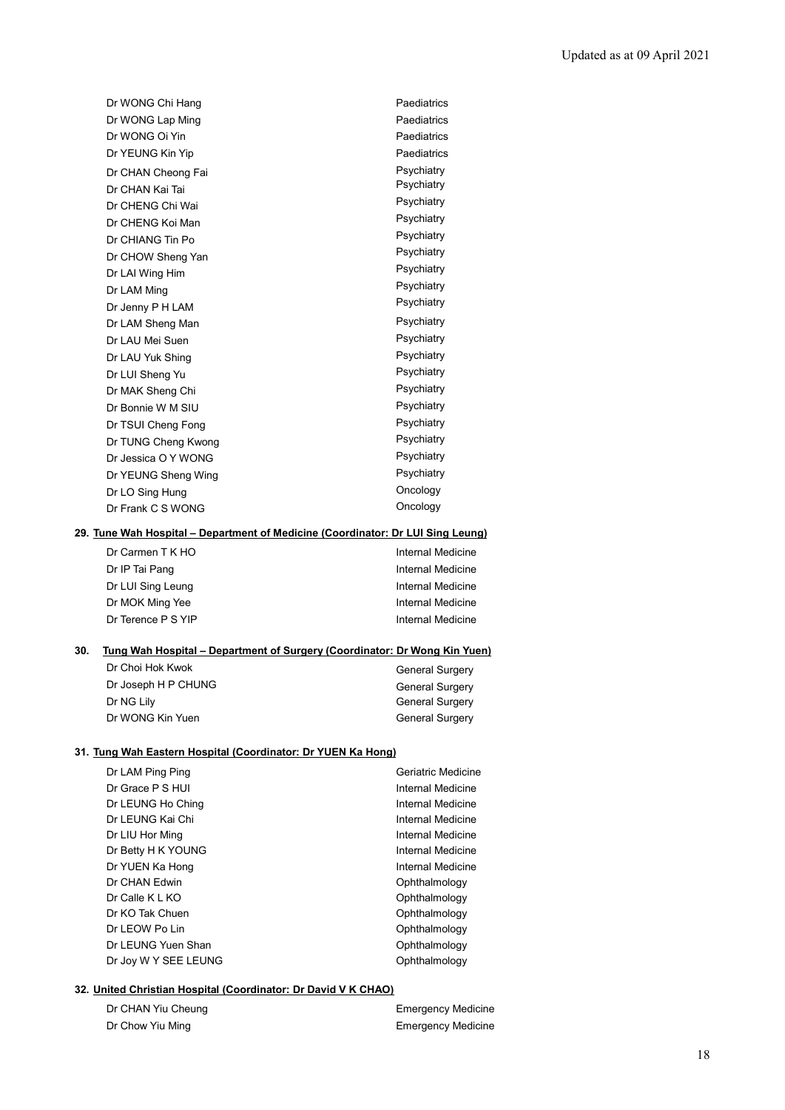| Dr WONG Chi Hang    | Paediatrics |
|---------------------|-------------|
| Dr WONG Lap Ming    | Paediatrics |
| Dr WONG Oi Yin      | Paediatrics |
| Dr YEUNG Kin Yip    | Paediatrics |
|                     | Psychiatry  |
| Dr CHAN Cheong Fai  | Psychiatry  |
| Dr CHAN Kai Tai     | Psychiatry  |
| Dr CHENG Chi Wai    |             |
| Dr CHENG Koi Man    | Psychiatry  |
| Dr CHIANG Tin Po    | Psychiatry  |
| Dr CHOW Sheng Yan   | Psychiatry  |
| Dr LAI Wing Him     | Psychiatry  |
| Dr LAM Ming         | Psychiatry  |
| Dr Jenny P H LAM    | Psychiatry  |
| Dr LAM Sheng Man    | Psychiatry  |
| Dr LAU Mei Suen     | Psychiatry  |
| Dr LAU Yuk Shing    | Psychiatry  |
| Dr LUI Sheng Yu     | Psychiatry  |
| Dr MAK Sheng Chi    | Psychiatry  |
| Dr Bonnie W M SIU   | Psychiatry  |
| Dr TSUI Cheng Fong  | Psychiatry  |
| Dr TUNG Cheng Kwong | Psychiatry  |
| Dr Jessica O Y WONG | Psychiatry  |
| Dr YEUNG Sheng Wing | Psychiatry  |
| Dr LO Sing Hung     | Oncology    |
| Dr Frank C S WONG   | Oncology    |
|                     |             |

# **29. Tune Wah Hospital – Department of Medicine (Coordinator: Dr LUI Sing Leung)**

| Dr Carmen T K HO   | Internal Medicine |
|--------------------|-------------------|
| Dr IP Tai Pang     | Internal Medicine |
| Dr LUI Sing Leung  | Internal Medicine |
| Dr MOK Ming Yee    | Internal Medicine |
| Dr Terence P S YIP | Internal Medicine |

### **30. Tung Wah Hospital – Department of Surgery (Coordinator: Dr Wong Kin Yuen)**

| Dr Choi Hok Kwok    | <b>General Surgery</b> |
|---------------------|------------------------|
| Dr Joseph H P CHUNG | <b>General Surgery</b> |
| Dr NG Lily          | <b>General Surgery</b> |
| Dr WONG Kin Yuen    | <b>General Surgery</b> |

## **31. Tung Wah Eastern Hospital (Coordinator: Dr YUEN Ka Hong)**

| Dr LAM Ping Ping     | Geriatric Medicine |
|----------------------|--------------------|
| Dr Grace P S HUI     | Internal Medicine  |
| Dr LEUNG Ho Ching    | Internal Medicine  |
| Dr LEUNG Kai Chi     | Internal Medicine  |
| Dr LIU Hor Ming      | Internal Medicine  |
| Dr Betty H K YOUNG   | Internal Medicine  |
| Dr YUEN Ka Hong      | Internal Medicine  |
| Dr CHAN Fdwin        | Ophthalmology      |
| Dr Calle K L KO      | Ophthalmology      |
| Dr KO Tak Chuen      | Ophthalmology      |
| Dr LEOW Po Lin       | Ophthalmology      |
| Dr LEUNG Yuen Shan   | Ophthalmology      |
| Dr Joy W Y SEE LEUNG | Ophthalmology      |
|                      |                    |

# **32. United Christian Hospital (Coordinator: Dr David V K CHAO)**

| Dr CHAN Yiu Cheung | <b>Emergency Medicine</b> |
|--------------------|---------------------------|
| Dr Chow Yiu Ming   | <b>Emergency Medicine</b> |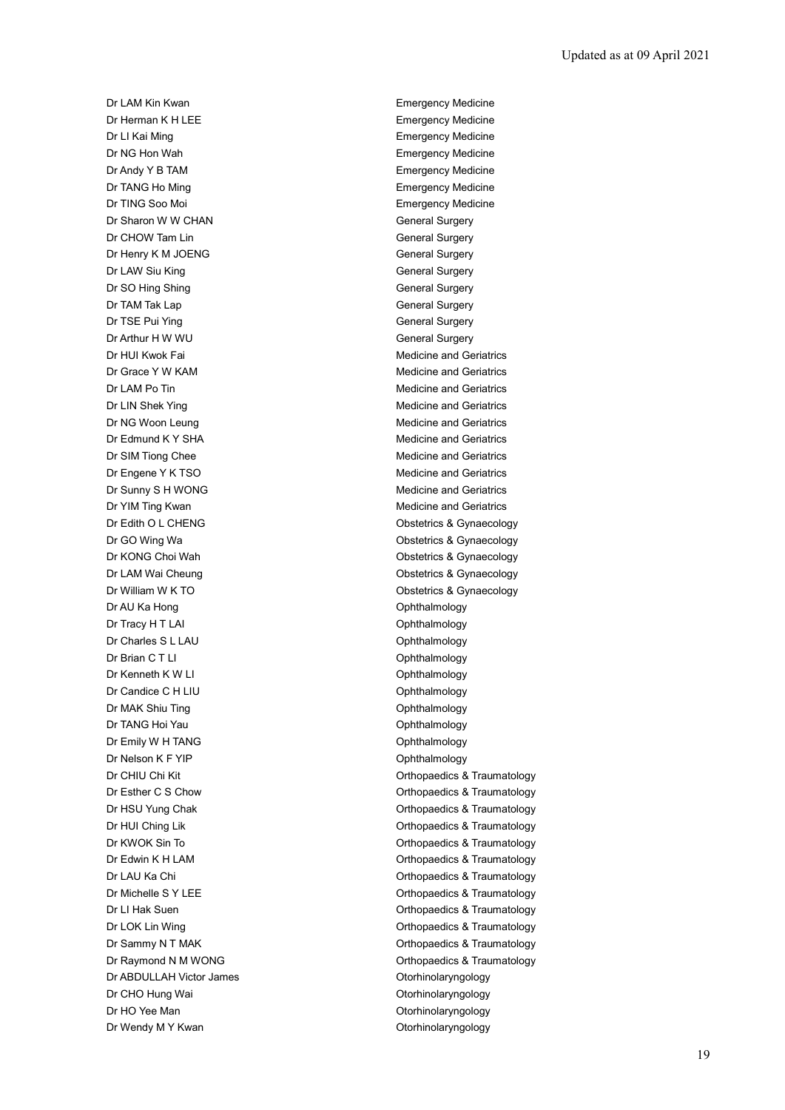Dr LAM Kin Kwan **Emergency Medicine** Dr Herman K H LEE **Example 2018** Emergency Medicine Dr LI Kai Ming **Emergency Medicine** Dr NG Hon Wah Emergency Medicine Dr Andy Y B TAM Emergency Medicine Dr TANG Ho Ming **Emergency Medicine** Dr TING Soo Moi **Emergency Medicine** Dr Sharon W W CHAN General Surgery Dr CHOW Tam Lin General Surgery Dr Henry K M JOENG General Surgery Dr LAW Siu King General Surgery Dr SO Hing Shing General Surgery Dr TAM Tak Lap General Surgery Dr TSE Pui Ying General Surgery Dr Arthur H W WU General Surgery Dr HUI Kwok Fai **Medicine and Geriatrics** Medicine and Geriatrics Dr Grace Y W KAM Medicine and Geriatrics Dr LAM Po Tin **Dr LAM Po Tin** Medicine and Geriatrics Dr LIN Shek Ying **Medicine** and Geriatrics Dr NG Woon Leung Medicine and Geriatrics Dr Edmund K Y SHA Medicine and Geriatrics Dr SIM Tiong Chee Medicine and Geriatrics Dr Engene Y K TSO **Medicine and Geriatrics** Medicine and Geriatrics Dr Sunny S H WONG Medicine and Geriatrics Dr YIM Ting Kwan Medicine and Geriatrics Dr Edith O L CHENG **Obstetrics & Gynaecology** Dr GO Wing Wa **Obstetrics & Gynaecology** Dr KONG Choi Wah **Obstetrics & Gynaecology** Dr LAM Wai Cheung **Dr LAM Wai Cheung Obstetrics & Gynaecology** Dr William W K TO **Dr William W K TO** Dr AU Ka Hong **Ophthalmology Ophthalmology** Dr Tracy H T LAI Ophthalmology **Dr Charles S L LAU Contract Contract Contract Contract Contract Contract Contract Contract Contract Contract Contract Contract Contract Contract Contract Contract Contract Contract Contract Contract Contract Contract Cont** Dr Brian C T LI Ophthalmology Dr Kenneth K W LI **Dr Kenneth K W LI** Dr Candice C H LIU Ophthalmology Dr MAK Shiu Ting **Ophthalmology** Dr TANG Hoi Yau **Ophthalmology** Dr Emily W H TANG Ophthalmology Dr Nelson K F YIP **Ophthalmology** Dr ABDULLAH Victor James **Otorhinolaryngology** Dr CHO Hung Wai **Dr CHO Hung Wai** Christian Mateur Christian Mateur Christian Otorhinolaryngology Dr HO Yee Man **Otorhinolaryngology** Dr Wendy M Y Kwan **Otorhinolaryngology Otorhinolaryngology** 

Dr CHIU Chi Kit **Orthopaedics & Traumatology** Dr Esther C S Chow Orthopaedics & Traumatology Dr HSU Yung Chak **Orthopaedics & Traumatology** Dr HUI Ching Lik **Dr HUI Ching Lik** Orthopaedics & Traumatology Dr KWOK Sin To **Orthopaedics & Traumatology** Dr Edwin K H LAM **Dr Edwin K H LAM** Orthopaedics & Traumatology Dr LAU Ka Chi Orthopaedics & Traumatology Dr Michelle S Y LEE **Orthopaedics & Traumatology** Dr LI Hak Suen **Dr Li Hak Suen** Controller Controller Controller Controller Controller Controller Controller Controller Controller Controller Controller Controller Controller Controller Controller Controller Controller Con Dr LOK Lin Wing **Orthopaedics & Traumatology** Dr Sammy N T MAK **Dr Sammy N T MAK Orthopaedics & Traumatology** Dr Raymond N M WONG **Orthopaedics & Traumatology**